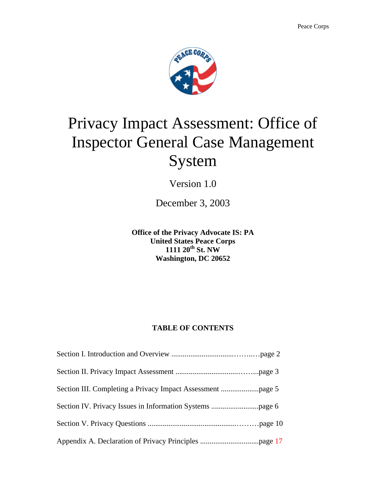

# Privacy Impact Assessment: Office of Inspector General Case Management System

Version 1.0

December 3, 2003

**Office of the Privacy Advocate IS: PA United States Peace Corps 1111 20th St. NW Washington, DC 20652** 

#### **TABLE OF CONTENTS**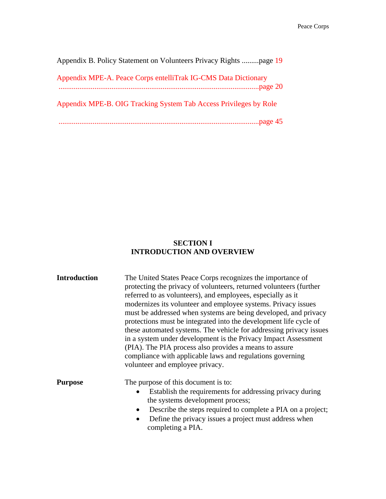| Appendix B. Policy Statement on Volunteers Privacy Rights page 19 |
|-------------------------------------------------------------------|
| Appendix MPE-A. Peace Corps entelliTrak IG-CMS Data Dictionary    |
| Appendix MPE-B. OIG Tracking System Tab Access Privileges by Role |
|                                                                   |

#### **SECTION I INTRODUCTION AND OVERVIEW**

| <b>Introduction</b> | The United States Peace Corps recognizes the importance of<br>protecting the privacy of volunteers, returned volunteers (further<br>referred to as volunteers), and employees, especially as it<br>modernizes its volunteer and employee systems. Privacy issues<br>must be addressed when systems are being developed, and privacy<br>protections must be integrated into the development life cycle of<br>these automated systems. The vehicle for addressing privacy issues<br>in a system under development is the Privacy Impact Assessment<br>(PIA). The PIA process also provides a means to assure<br>compliance with applicable laws and regulations governing<br>volunteer and employee privacy. |
|---------------------|------------------------------------------------------------------------------------------------------------------------------------------------------------------------------------------------------------------------------------------------------------------------------------------------------------------------------------------------------------------------------------------------------------------------------------------------------------------------------------------------------------------------------------------------------------------------------------------------------------------------------------------------------------------------------------------------------------|
| <b>Purpose</b>      | The purpose of this document is to:<br>Establish the requirements for addressing privacy during<br>the systems development process;<br>Describe the steps required to complete a PIA on a project;<br>$\bullet$<br>Define the privacy issues a project must address when<br>completing a PIA.                                                                                                                                                                                                                                                                                                                                                                                                              |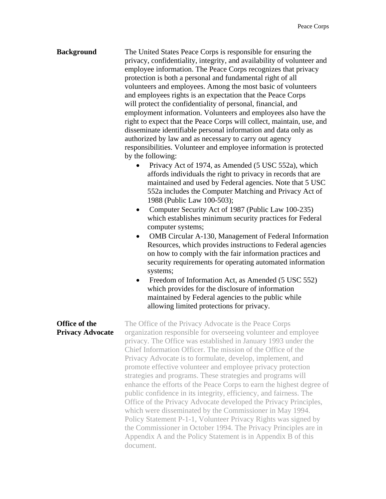| <b>Background</b>                        | The United States Peace Corps is responsible for ensuring the<br>privacy, confidentiality, integrity, and availability of volunteer and<br>employee information. The Peace Corps recognizes that privacy<br>protection is both a personal and fundamental right of all<br>volunteers and employees. Among the most basic of volunteers<br>and employees rights is an expectation that the Peace Corps<br>will protect the confidentiality of personal, financial, and<br>employment information. Volunteers and employees also have the<br>right to expect that the Peace Corps will collect, maintain, use, and<br>disseminate identifiable personal information and data only as<br>authorized by law and as necessary to carry out agency<br>responsibilities. Volunteer and employee information is protected<br>by the following:<br>Privacy Act of 1974, as Amended (5 USC 552a), which<br>affords individuals the right to privacy in records that are<br>maintained and used by Federal agencies. Note that 5 USC<br>552a includes the Computer Matching and Privacy Act of<br>1988 (Public Law 100-503);<br>Computer Security Act of 1987 (Public Law 100-235)<br>٠<br>which establishes minimum security practices for Federal<br>computer systems;<br>OMB Circular A-130, Management of Federal Information<br>Resources, which provides instructions to Federal agencies<br>on how to comply with the fair information practices and<br>security requirements for operating automated information<br>systems;<br>Freedom of Information Act, as Amended (5 USC 552)<br>$\bullet$<br>which provides for the disclosure of information<br>maintained by Federal agencies to the public while<br>allowing limited protections for privacy. |
|------------------------------------------|-----------------------------------------------------------------------------------------------------------------------------------------------------------------------------------------------------------------------------------------------------------------------------------------------------------------------------------------------------------------------------------------------------------------------------------------------------------------------------------------------------------------------------------------------------------------------------------------------------------------------------------------------------------------------------------------------------------------------------------------------------------------------------------------------------------------------------------------------------------------------------------------------------------------------------------------------------------------------------------------------------------------------------------------------------------------------------------------------------------------------------------------------------------------------------------------------------------------------------------------------------------------------------------------------------------------------------------------------------------------------------------------------------------------------------------------------------------------------------------------------------------------------------------------------------------------------------------------------------------------------------------------------------------------------------------------------------------------------------------------------------|
| Office of the<br><b>Privacy Advocate</b> | The Office of the Privacy Advocate is the Peace Corps<br>organization responsible for overseeing volunteer and employee<br>privacy. The Office was established in January 1993 under the<br>Chief Information Officer. The mission of the Office of the<br>Privacy Advocate is to formulate, develop, implement, and<br>promote effective volunteer and employee privacy protection<br>strategies and programs. These strategies and programs will<br>enhance the efforts of the Peace Corps to earn the highest degree of<br>public confidence in its integrity, efficiency, and fairness. The<br>Office of the Privacy Advocate developed the Privacy Principles,<br>which were disseminated by the Commissioner in May 1994.<br>Policy Statement P-1-1, Volunteer Privacy Rights was signed by<br>the Commissioner in October 1994. The Privacy Principles are in<br>Appendix A and the Policy Statement is in Appendix B of this<br>document.                                                                                                                                                                                                                                                                                                                                                                                                                                                                                                                                                                                                                                                                                                                                                                                                   |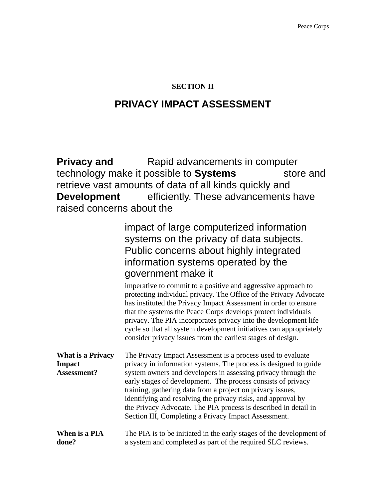#### **SECTION II**

### **PRIVACY IMPACT ASSESSMENT**

**Privacy and State Rapid advancements in computer** technology make it possible to **Systems** store and retrieve vast amounts of data of all kinds quickly and **Development** efficiently. These advancements have raised concerns about the

|                                                                 | impact of large computerized information<br>systems on the privacy of data subjects.<br>Public concerns about highly integrated<br>information systems operated by the<br>government make it<br>imperative to commit to a positive and aggressive approach to<br>protecting individual privacy. The Office of the Privacy Advocate<br>has instituted the Privacy Impact Assessment in order to ensure<br>that the systems the Peace Corps develops protect individuals<br>privacy. The PIA incorporates privacy into the development life<br>cycle so that all system development initiatives can appropriately<br>consider privacy issues from the earliest stages of design. |
|-----------------------------------------------------------------|--------------------------------------------------------------------------------------------------------------------------------------------------------------------------------------------------------------------------------------------------------------------------------------------------------------------------------------------------------------------------------------------------------------------------------------------------------------------------------------------------------------------------------------------------------------------------------------------------------------------------------------------------------------------------------|
| <b>What is a Privacy</b><br><b>Impact</b><br><b>Assessment?</b> | The Privacy Impact Assessment is a process used to evaluate<br>privacy in information systems. The process is designed to guide<br>system owners and developers in assessing privacy through the<br>early stages of development. The process consists of privacy<br>training, gathering data from a project on privacy issues,<br>identifying and resolving the privacy risks, and approval by<br>the Privacy Advocate. The PIA process is described in detail in<br>Section III, Completing a Privacy Impact Assessment.                                                                                                                                                      |
| When is a PIA<br>done?                                          | The PIA is to be initiated in the early stages of the development of<br>a system and completed as part of the required SLC reviews.                                                                                                                                                                                                                                                                                                                                                                                                                                                                                                                                            |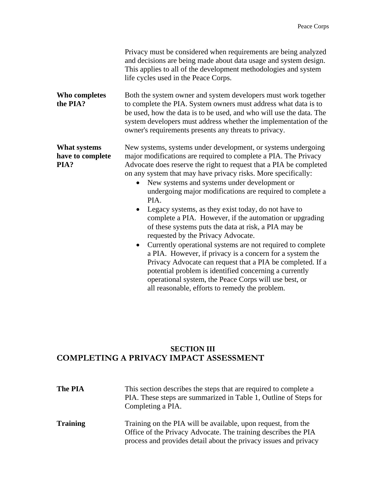|                                                 | Privacy must be considered when requirements are being analyzed<br>and decisions are being made about data usage and system design.<br>This applies to all of the development methodologies and system<br>life cycles used in the Peace Corps.                                                                                                                                                                                                                                                                                                                                                                                                                                                                                                                                                                                                                                                                                                    |  |
|-------------------------------------------------|---------------------------------------------------------------------------------------------------------------------------------------------------------------------------------------------------------------------------------------------------------------------------------------------------------------------------------------------------------------------------------------------------------------------------------------------------------------------------------------------------------------------------------------------------------------------------------------------------------------------------------------------------------------------------------------------------------------------------------------------------------------------------------------------------------------------------------------------------------------------------------------------------------------------------------------------------|--|
| Who completes<br>the PIA?                       | Both the system owner and system developers must work together<br>to complete the PIA. System owners must address what data is to<br>be used, how the data is to be used, and who will use the data. The<br>system developers must address whether the implementation of the<br>owner's requirements presents any threats to privacy.                                                                                                                                                                                                                                                                                                                                                                                                                                                                                                                                                                                                             |  |
| <b>What systems</b><br>have to complete<br>PIA? | New systems, systems under development, or systems undergoing<br>major modifications are required to complete a PIA. The Privacy<br>Advocate does reserve the right to request that a PIA be completed<br>on any system that may have privacy risks. More specifically:<br>New systems and systems under development or<br>undergoing major modifications are required to complete a<br>PIA.<br>Legacy systems, as they exist today, do not have to<br>$\bullet$<br>complete a PIA. However, if the automation or upgrading<br>of these systems puts the data at risk, a PIA may be<br>requested by the Privacy Advocate.<br>Currently operational systems are not required to complete<br>$\bullet$<br>a PIA. However, if privacy is a concern for a system the<br>Privacy Advocate can request that a PIA be completed. If a<br>potential problem is identified concerning a currently<br>operational system, the Peace Corps will use best, or |  |

### **SECTION III COMPLETING A PRIVACY IMPACT ASSESSMENT**

| <b>The PIA</b>  | This section describes the steps that are required to complete a<br>PIA. These steps are summarized in Table 1, Outline of Steps for<br>Completing a PIA.                                           |
|-----------------|-----------------------------------------------------------------------------------------------------------------------------------------------------------------------------------------------------|
| <b>Training</b> | Training on the PIA will be available, upon request, from the<br>Office of the Privacy Advocate. The training describes the PIA<br>process and provides detail about the privacy issues and privacy |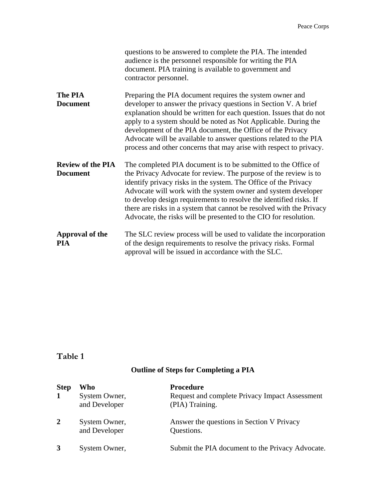|                                             | questions to be answered to complete the PIA. The intended<br>audience is the personnel responsible for writing the PIA<br>document. PIA training is available to government and<br>contractor personnel.                                                                                                                                                                                                                                                                                |
|---------------------------------------------|------------------------------------------------------------------------------------------------------------------------------------------------------------------------------------------------------------------------------------------------------------------------------------------------------------------------------------------------------------------------------------------------------------------------------------------------------------------------------------------|
| The PIA<br><b>Document</b>                  | Preparing the PIA document requires the system owner and<br>developer to answer the privacy questions in Section V. A brief<br>explanation should be written for each question. Issues that do not<br>apply to a system should be noted as Not Applicable. During the<br>development of the PIA document, the Office of the Privacy<br>Advocate will be available to answer questions related to the PIA<br>process and other concerns that may arise with respect to privacy.           |
| <b>Review of the PIA</b><br><b>Document</b> | The completed PIA document is to be submitted to the Office of<br>the Privacy Advocate for review. The purpose of the review is to<br>identify privacy risks in the system. The Office of the Privacy<br>Advocate will work with the system owner and system developer<br>to develop design requirements to resolve the identified risks. If<br>there are risks in a system that cannot be resolved with the Privacy<br>Advocate, the risks will be presented to the CIO for resolution. |
| Approval of the<br><b>PIA</b>               | The SLC review process will be used to validate the incorporation<br>of the design requirements to resolve the privacy risks. Formal<br>approval will be issued in accordance with the SLC.                                                                                                                                                                                                                                                                                              |

### **Table 1**

### **Outline of Steps for Completing a PIA**

| <b>Step</b>  | Who                            | <b>Procedure</b>                                                  |
|--------------|--------------------------------|-------------------------------------------------------------------|
| 1            | System Owner,<br>and Developer | Request and complete Privacy Impact Assessment<br>(PIA) Training. |
| $\mathbf{2}$ | System Owner,<br>and Developer | Answer the questions in Section V Privacy<br>Questions.           |
|              | System Owner,                  | Submit the PIA document to the Privacy Advocate.                  |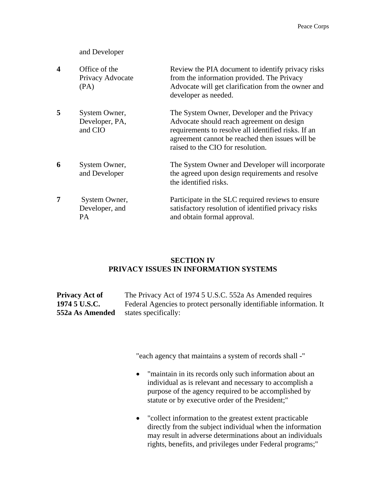#### and Developer

| $\overline{\mathbf{4}}$ | Office of the<br>Privacy Advocate<br>(PA)  | Review the PIA document to identify privacy risks<br>from the information provided. The Privacy<br>Advocate will get clarification from the owner and<br>developer as needed.                                                           |
|-------------------------|--------------------------------------------|-----------------------------------------------------------------------------------------------------------------------------------------------------------------------------------------------------------------------------------------|
| 5                       | System Owner,<br>Developer, PA,<br>and CIO | The System Owner, Developer and the Privacy<br>Advocate should reach agreement on design<br>requirements to resolve all identified risks. If an<br>agreement cannot be reached then issues will be<br>raised to the CIO for resolution. |
| 6                       | System Owner,<br>and Developer             | The System Owner and Developer will incorporate<br>the agreed upon design requirements and resolve<br>the identified risks.                                                                                                             |
| 7                       | System Owner,<br>Developer, and<br>PA      | Participate in the SLC required reviews to ensure<br>satisfactory resolution of identified privacy risks<br>and obtain formal approval.                                                                                                 |

#### **SECTION IV PRIVACY ISSUES IN INFORMATION SYSTEMS**

**Privacy Act of** The Privacy Act of 1974 5 U.S.C. 552a As Amended requires **1974 5 U.S.C.** Federal Agencies to protect personally identifiable information. It **552a As Amended** states specifically:

"each agency that maintains a system of records shall -"

- "maintain in its records only such information about an individual as is relevant and necessary to accomplish a purpose of the agency required to be accomplished by statute or by executive order of the President;"
- "collect information to the greatest extent practicable directly from the subject individual when the information may result in adverse determinations about an individuals rights, benefits, and privileges under Federal programs;"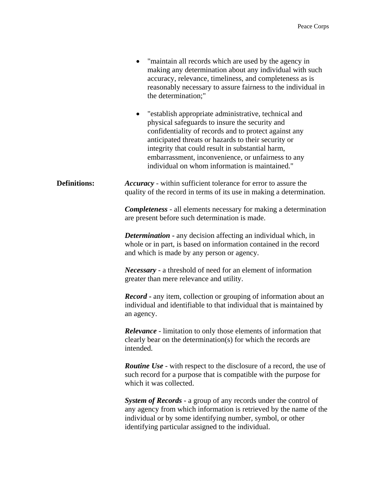|                     | "maintain all records which are used by the agency in<br>making any determination about any individual with such<br>accuracy, relevance, timeliness, and completeness as is<br>reasonably necessary to assure fairness to the individual in<br>the determination;"<br>"establish appropriate administrative, technical and<br>$\bullet$<br>physical safeguards to insure the security and<br>confidentiality of records and to protect against any<br>anticipated threats or hazards to their security or<br>integrity that could result in substantial harm,<br>embarrassment, inconvenience, or unfairness to any<br>individual on whom information is maintained." |
|---------------------|-----------------------------------------------------------------------------------------------------------------------------------------------------------------------------------------------------------------------------------------------------------------------------------------------------------------------------------------------------------------------------------------------------------------------------------------------------------------------------------------------------------------------------------------------------------------------------------------------------------------------------------------------------------------------|
| <b>Definitions:</b> | <b>Accuracy</b> - within sufficient tolerance for error to assure the<br>quality of the record in terms of its use in making a determination.                                                                                                                                                                                                                                                                                                                                                                                                                                                                                                                         |
|                     | <b>Completeness</b> - all elements necessary for making a determination<br>are present before such determination is made.                                                                                                                                                                                                                                                                                                                                                                                                                                                                                                                                             |
|                     | <b>Determination - any decision affecting an individual which, in</b><br>whole or in part, is based on information contained in the record<br>and which is made by any person or agency.                                                                                                                                                                                                                                                                                                                                                                                                                                                                              |
|                     | <i>Necessary</i> - a threshold of need for an element of information<br>greater than mere relevance and utility.                                                                                                                                                                                                                                                                                                                                                                                                                                                                                                                                                      |
|                     | <b>Record</b> - any item, collection or grouping of information about an<br>individual and identifiable to that individual that is maintained by<br>an agency.                                                                                                                                                                                                                                                                                                                                                                                                                                                                                                        |
|                     | <b>Relevance</b> - limitation to only those elements of information that<br>clearly bear on the determination(s) for which the records are<br>intended.                                                                                                                                                                                                                                                                                                                                                                                                                                                                                                               |
|                     | <b>Routine Use</b> - with respect to the disclosure of a record, the use of<br>such record for a purpose that is compatible with the purpose for<br>which it was collected.                                                                                                                                                                                                                                                                                                                                                                                                                                                                                           |
|                     | System of Records - a group of any records under the control of<br>any agency from which information is retrieved by the name of the<br>individual or by some identifying number, symbol, or other<br>identifying particular assigned to the individual.                                                                                                                                                                                                                                                                                                                                                                                                              |
|                     |                                                                                                                                                                                                                                                                                                                                                                                                                                                                                                                                                                                                                                                                       |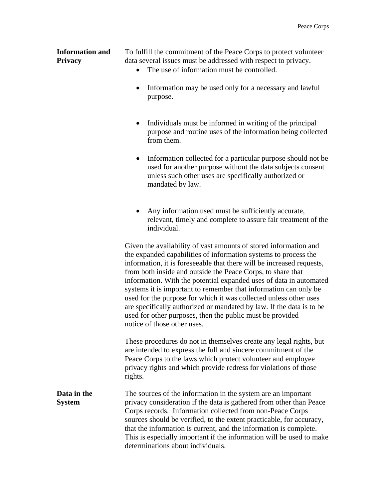**Information and** To fulfill the commitment of the Peace Corps to protect volunteer **Privacy** data several issues must be addressed with respect to privacy.

- The use of information must be controlled.
- Information may be used only for a necessary and lawful purpose.
- Individuals must be informed in writing of the principal purpose and routine uses of the information being collected from them.
- Information collected for a particular purpose should not be used for another purpose without the data subjects consent unless such other uses are specifically authorized or mandated by law.
- Any information used must be sufficiently accurate, relevant, timely and complete to assure fair treatment of the individual.

Given the availability of vast amounts of stored information and the expanded capabilities of information systems to process the information, it is foreseeable that there will be increased requests, from both inside and outside the Peace Corps, to share that information. With the potential expanded uses of data in automated systems it is important to remember that information can only be used for the purpose for which it was collected unless other uses are specifically authorized or mandated by law. If the data is to be used for other purposes, then the public must be provided notice of those other uses.

These procedures do not in themselves create any legal rights, but are intended to express the full and sincere commitment of the Peace Corps to the laws which protect volunteer and employee privacy rights and which provide redress for violations of those rights.

**Data in the** The sources of the information in the system are an important **System** privacy consideration if the data is gathered from other than Peace Corps records. Information collected from non-Peace Corps sources should be verified, to the extent practicable, for accuracy, that the information is current, and the information is complete. This is especially important if the information will be used to make determinations about individuals.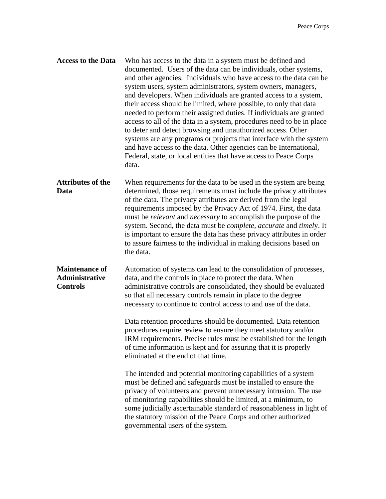| <b>Access to the Data</b>                                  | Who has access to the data in a system must be defined and<br>documented. Users of the data can be individuals, other systems,<br>and other agencies. Individuals who have access to the data can be<br>system users, system administrators, system owners, managers,<br>and developers. When individuals are granted access to a system,<br>their access should be limited, where possible, to only that data<br>needed to perform their assigned duties. If individuals are granted<br>access to all of the data in a system, procedures need to be in place<br>to deter and detect browsing and unauthorized access. Other<br>systems are any programs or projects that interface with the system<br>and have access to the data. Other agencies can be International,<br>Federal, state, or local entities that have access to Peace Corps<br>data. |
|------------------------------------------------------------|---------------------------------------------------------------------------------------------------------------------------------------------------------------------------------------------------------------------------------------------------------------------------------------------------------------------------------------------------------------------------------------------------------------------------------------------------------------------------------------------------------------------------------------------------------------------------------------------------------------------------------------------------------------------------------------------------------------------------------------------------------------------------------------------------------------------------------------------------------|
| <b>Attributes of the</b><br>Data                           | When requirements for the data to be used in the system are being<br>determined, those requirements must include the privacy attributes<br>of the data. The privacy attributes are derived from the legal<br>requirements imposed by the Privacy Act of 1974. First, the data<br>must be <i>relevant</i> and <i>necessary</i> to accomplish the purpose of the<br>system. Second, the data must be <i>complete</i> , <i>accurate</i> and <i>timely</i> . It<br>is important to ensure the data has these privacy attributes in order<br>to assure fairness to the individual in making decisions based on<br>the data.                                                                                                                                                                                                                                  |
| <b>Maintenance of</b><br>Administrative<br><b>Controls</b> | Automation of systems can lead to the consolidation of processes,<br>data, and the controls in place to protect the data. When<br>administrative controls are consolidated, they should be evaluated<br>so that all necessary controls remain in place to the degree<br>necessary to continue to control access to and use of the data.                                                                                                                                                                                                                                                                                                                                                                                                                                                                                                                 |
|                                                            | Data retention procedures should be documented. Data retention<br>procedures require review to ensure they meet statutory and/or<br>IRM requirements. Precise rules must be established for the length<br>of time information is kept and for assuring that it is properly<br>eliminated at the end of that time.                                                                                                                                                                                                                                                                                                                                                                                                                                                                                                                                       |

The intended and potential monitoring capabilities of a system must be defined and safeguards must be installed to ensure the privacy of volunteers and prevent unnecessary intrusion. The use of monitoring capabilities should be limited, at a minimum, to some judicially ascertainable standard of reasonableness in light of the statutory mission of the Peace Corps and other authorized governmental users of the system.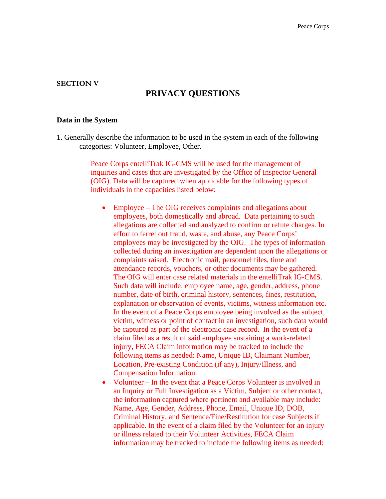#### **SECTION V**

#### **PRIVACY QUESTIONS**

#### **Data in the System**

1. Generally describe the information to be used in the system in each of the following categories: Volunteer, Employee, Other.

> Peace Corps entelliTrak IG-CMS will be used for the management of inquiries and cases that are investigated by the Office of Inspector General (OIG). Data will be captured when applicable for the following types of individuals in the capacities listed below:

- Employee The OIG receives complaints and allegations about employees, both domestically and abroad. Data pertaining to such allegations are collected and analyzed to confirm or refute charges. In effort to ferret out fraud, waste, and abuse, any Peace Corps' employees may be investigated by the OIG. The types of information collected during an investigation are dependent upon the allegations or complaints raised. Electronic mail, personnel files, time and attendance records, vouchers, or other documents may be gathered. The OIG will enter case related materials in the entelliTrak IG-CMS. Such data will include: employee name, age, gender, address, phone number, date of birth, criminal history, sentences, fines, restitution, explanation or observation of events, victims, witness information etc. In the event of a Peace Corps employee being involved as the subject, victim, witness or point of contact in an investigation, such data would be captured as part of the electronic case record. In the event of a claim filed as a result of said employee sustaining a work-related injury, FECA Claim information may be tracked to include the following items as needed: Name, Unique ID, Claimant Number, Location, Pre-existing Condition (if any), Injury/Illness, and Compensation Information.
- Volunteer In the event that a Peace Corps Volunteer is involved in an Inquiry or Full Investigation as a Victim, Subject or other contact, the information captured where pertinent and available may include: Name, Age, Gender, Address, Phone, Email, Unique ID, DOB, Criminal History, and Sentence/Fine/Restitution for case Subjects if applicable. In the event of a claim filed by the Volunteer for an injury or illness related to their Volunteer Activities, FECA Claim information may be tracked to include the following items as needed: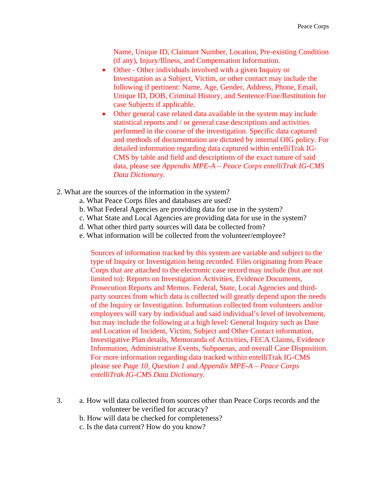Name, Unique ID, Claimant Number, Location, Pre-existing Condition (if any), Injury/Illness, and Compensation Information.

- Other Other individuals involved with a given Inquiry or Investigation as a Subject, Victim, or other contact may include the following if pertinent: Name, Age, Gender, Address, Phone, Email, Unique ID, DOB, Criminal History, and Sentence/Fine/Restitution for case Subjects if applicable.
- Other general case related data available in the system may include statistical reports and / or general case descriptions and activities performed in the course of the investigation. Specific data captured and methods of documentation are dictated by internal OIG policy. For detailed information regarding data captured within entelliTrak IG-CMS by table and field and descriptions of the exact nature of said data, please see *Appendix MPE-A – Peace Corps entelliTrak IG-CMS Data Dictionary.*
- 2. What are the sources of the information in the system?
	- a. What Peace Corps files and databases are used?
	- b. What Federal Agencies are providing data for use in the system?
	- c. What State and Local Agencies are providing data for use in the system?
	- d. What other third party sources will data be collected from?
	- e. What information will be collected from the volunteer/employee?

Sources of information tracked by this system are variable and subject to the type of Inquiry or Investigation being recorded. Files originating from Peace Corps that are attached to the electronic case record may include (but are not limited to): Reports on Investigation Activities, Evidence Documents, Prosecution Reports and Memos. Federal, State, Local Agencies and thirdparty sources from which data is collected will greatly depend upon the needs of the Inquiry or Investigation. Information collected from volunteers and/or employees will vary by individual and said individual's level of involvement, but may include the following at a high level: General Inquiry such as Date and Location of Incident, Victim, Subject and Other Contact information, Investigative Plan details, Memoranda of Activities, FECA Claims, Evidence Information, Administrative Events, Subpoenas, and overall Case Disposition. For more information regarding data tracked within entelliTrak IG-CMS please see *Page 10, Question 1* and *Appendix MPE-A – Peace Corps entelliTrak IG-CMS Data Dictionary.* 

- 3. a. How will data collected from sources other than Peace Corps records and the volunteer be verified for accuracy?
	- b. How will data be checked for completeness?
	- c. Is the data current? How do you know?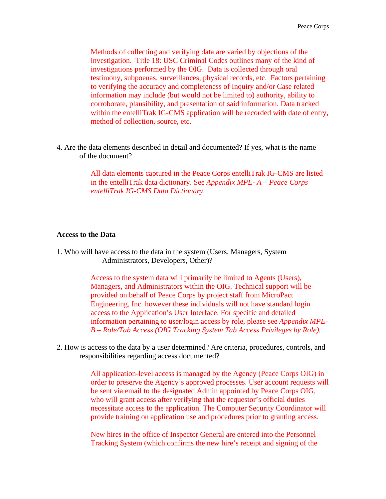Methods of collecting and verifying data are varied by objections of the investigation. Title 18: USC Criminal Codes outlines many of the kind of investigations performed by the OIG. Data is collected through oral testimony, subpoenas, surveillances, physical records, etc. Factors pertaining to verifying the accuracy and completeness of Inquiry and/or Case related information may include (but would not be limited to) authority, ability to corroborate, plausibility, and presentation of said information. Data tracked within the entelliTrak IG-CMS application will be recorded with date of entry, method of collection, source, etc.

4. Are the data elements described in detail and documented? If yes, what is the name of the document?

> All data elements captured in the Peace Corps entelliTrak IG-CMS are listed in the entelliTrak data dictionary. See *Appendix MPE- A – Peace Corps entelliTrak IG-CMS Data Dictionary.*

#### **Access to the Data**

1. Who will have access to the data in the system (Users, Managers, System Administrators, Developers, Other)?

> Access to the system data will primarily be limited to Agents (Users), Managers, and Administrators within the OIG. Technical support will be provided on behalf of Peace Corps by project staff from MicroPact Engineering, Inc. however these individuals will not have standard login access to the Application's User Interface. For specific and detailed information pertaining to user/login access by role, please see *Appendix MPE-B – Role/Tab Access (OIG Tracking System Tab Access Privileges by Role).*

2. How is access to the data by a user determined? Are criteria, procedures, controls, and responsibilities regarding access documented?

> All application-level access is managed by the Agency (Peace Corps OIG) in order to preserve the Agency's approved processes. User account requests will be sent via email to the designated Admin appointed by Peace Corps OIG, who will grant access after verifying that the requestor's official duties necessitate access to the application. The Computer Security Coordinator will provide training on application use and procedures prior to granting access.

New hires in the office of Inspector General are entered into the Personnel Tracking System (which confirms the new hire's receipt and signing of the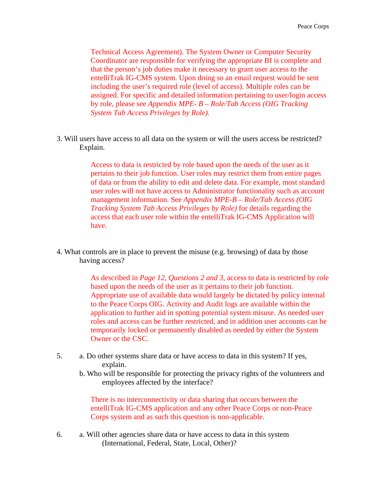Technical Access Agreement). The System Owner or Computer Security Coordinator are responsible for verifying the appropriate BI is complete and that the person's job duties make it necessary to grant user access to the entelliTrak IG-CMS system. Upon doing so an email request would be sent including the user's required role (level of access). Multiple roles can be assigned. For specific and detailed information pertaining to user/login access by role, please see *Appendix MPE- B – Role/Tab Access (OIG Tracking System Tab Access Privileges by Role).* 

3. Will users have access to all data on the system or will the users access be restricted? Explain.

> Access to data is restricted by role based upon the needs of the user as it pertains to their job function. User roles may restrict them from entire pages of data or from the ability to edit and delete data. For example, most standard user roles will not have access to Administrator functionality such as account management information. See *Appendix MPE-B – Role/Tab Access (OIG Tracking System Tab Access Privileges by Role)* for details regarding the access that each user role within the entelliTrak IG-CMS Application will have.

4. What controls are in place to prevent the misuse (e.g. browsing) of data by those having access?

> As described in *Page 12, Questions 2 and 3,* access to data is restricted by role based upon the needs of the user as it pertains to their job function. Appropriate use of available data would largely be dictated by policy internal to the Peace Corps OIG. Activity and Audit logs are available within the application to further aid in spotting potential system misuse. As needed user roles and access can be further restricted, and in addition user accounts can be temporarily locked or permanently disabled as needed by either the System Owner or the CSC.

- 5. a. Do other systems share data or have access to data in this system? If yes, explain.
	- b. Who will be responsible for protecting the privacy rights of the volunteers and employees affected by the interface?

There is no interconnectivity or data sharing that occurs between the entelliTrak IG-CMS application and any other Peace Corps or non-Peace Corps system and as such this question is non-applicable.

6. a. Will other agencies share data or have access to data in this system (International, Federal, State, Local, Other)?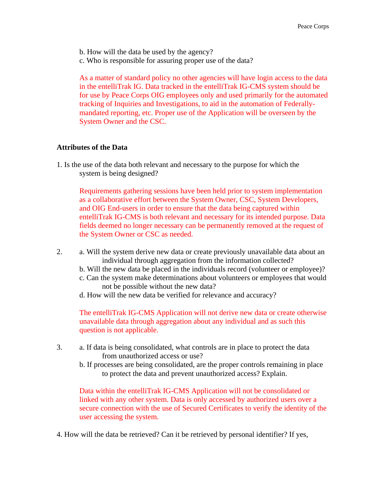b. How will the data be used by the agency?

c. Who is responsible for assuring proper use of the data?

As a matter of standard policy no other agencies will have login access to the data in the entelliTrak IG. Data tracked in the entelliTrak IG-CMS system should be for use by Peace Corps OIG employees only and used primarily for the automated tracking of Inquiries and Investigations, to aid in the automation of Federallymandated reporting, etc. Proper use of the Application will be overseen by the System Owner and the CSC.

#### **Attributes of the Data**

1. Is the use of the data both relevant and necessary to the purpose for which the system is being designed?

Requirements gathering sessions have been held prior to system implementation as a collaborative effort between the System Owner, CSC, System Developers, and OIG End-users in order to ensure that the data being captured within entelliTrak IG-CMS is both relevant and necessary for its intended purpose. Data fields deemed no longer necessary can be permanently removed at the request of the System Owner or CSC as needed.

- 2. a. Will the system derive new data or create previously unavailable data about an individual through aggregation from the information collected?
	- b. Will the new data be placed in the individuals record (volunteer or employee)?
	- c. Can the system make determinations about volunteers or employees that would not be possible without the new data?
	- d. How will the new data be verified for relevance and accuracy?

The entelliTrak IG-CMS Application will not derive new data or create otherwise unavailable data through aggregation about any individual and as such this question is not applicable.

- 3. a. If data is being consolidated, what controls are in place to protect the data from unauthorized access or use?
	- b. If processes are being consolidated, are the proper controls remaining in place to protect the data and prevent unauthorized access? Explain.

Data within the entelliTrak IG-CMS Application will not be consolidated or linked with any other system. Data is only accessed by authorized users over a secure connection with the use of Secured Certificates to verify the identity of the user accessing the system.

4. How will the data be retrieved? Can it be retrieved by personal identifier? If yes,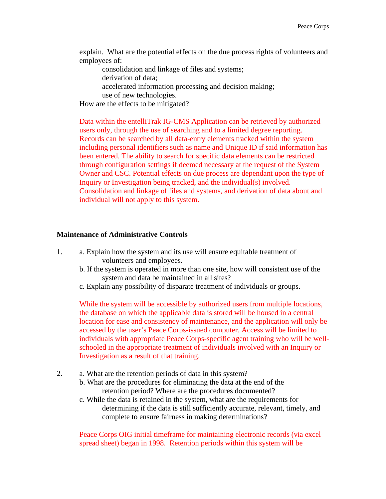explain. What are the potential effects on the due process rights of volunteers and employees of:

consolidation and linkage of files and systems; derivation of data; accelerated information processing and decision making; use of new technologies.

How are the effects to be mitigated?

Data within the entelliTrak IG-CMS Application can be retrieved by authorized users only, through the use of searching and to a limited degree reporting. Records can be searched by all data-entry elements tracked within the system including personal identifiers such as name and Unique ID if said information has been entered. The ability to search for specific data elements can be restricted through configuration settings if deemed necessary at the request of the System Owner and CSC. Potential effects on due process are dependant upon the type of Inquiry or Investigation being tracked, and the individual(s) involved. Consolidation and linkage of files and systems, and derivation of data about and individual will not apply to this system.

#### **Maintenance of Administrative Controls**

- 1. a. Explain how the system and its use will ensure equitable treatment of volunteers and employees.
	- b. If the system is operated in more than one site, how will consistent use of the system and data be maintained in all sites?
	- c. Explain any possibility of disparate treatment of individuals or groups.

While the system will be accessible by authorized users from multiple locations, the database on which the applicable data is stored will be housed in a central location for ease and consistency of maintenance, and the application will only be accessed by the user's Peace Corps-issued computer. Access will be limited to individuals with appropriate Peace Corps-specific agent training who will be wellschooled in the appropriate treatment of individuals involved with an Inquiry or Investigation as a result of that training.

- 2. a. What are the retention periods of data in this system?
	- b. What are the procedures for eliminating the data at the end of the retention period? Where are the procedures documented?
	- c. While the data is retained in the system, what are the requirements for determining if the data is still sufficiently accurate, relevant, timely, and complete to ensure fairness in making determinations?

Peace Corps OIG initial timeframe for maintaining electronic records (via excel spread sheet) began in 1998. Retention periods within this system will be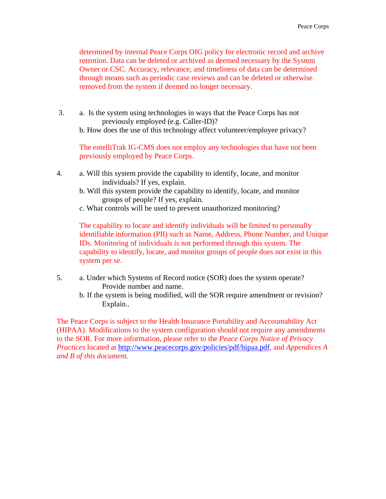determined by internal Peace Corps OIG policy for electronic record and archive retention. Data can be deleted or archived as deemed necessary by the System Owner or CSC. Accuracy, relevance, and timeliness of data can be determined through means such as periodic case reviews and can be deleted or otherwise removed from the system if deemed no longer necessary.

 3. a. Is the system using technologies in ways that the Peace Corps has not previously employed (e.g. Caller-ID)?

b. How does the use of this technology affect volunteer/employee privacy?

The entelliTrak IG-CMS does not employ any technologies that have not been previously employed by Peace Corps.

- 4. a. Will this system provide the capability to identify, locate, and monitor individuals? If yes, explain.
	- b. Will this system provide the capability to identify, locate, and monitor groups of people? If yes, explain.
	- c. What controls will be used to prevent unauthorized monitoring?

The capability to locate and identify individuals will be limited to personally identifiable information (PII) such as Name, Address, Phone Number, and Unique IDs. Monitoring of individuals is not performed through this system. The capability to identify, locate, and monitor groups of people does not exist in this system per se.

- 5. a. Under which Systems of Record notice (SOR) does the system operate? Provide number and name.
	- b. If the system is being modified, will the SOR require amendment or revision? Explain..

The Peace Corps is subject to the Health Insurance Portability and Accountability Act (HIPAA). Modifications to the system configuration should not require any amendments to the SOR. For more information, please refer to the *Peace Corps Notice of Privacy Practices* located at [http://www.peacecorps.gov/policies/pdf/hipaa.pdf,](http://www.peacecorps.gov/policies/pdf/hipaa.pdf) and *Appendices A and B of this document.*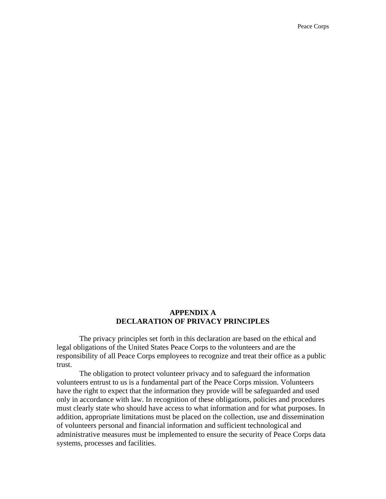#### **APPENDIX A DECLARATION OF PRIVACY PRINCIPLES**

The privacy principles set forth in this declaration are based on the ethical and legal obligations of the United States Peace Corps to the volunteers and are the responsibility of all Peace Corps employees to recognize and treat their office as a public trust.

The obligation to protect volunteer privacy and to safeguard the information volunteers entrust to us is a fundamental part of the Peace Corps mission. Volunteers have the right to expect that the information they provide will be safeguarded and used only in accordance with law. In recognition of these obligations, policies and procedures must clearly state who should have access to what information and for what purposes. In addition, appropriate limitations must be placed on the collection, use and dissemination of volunteers personal and financial information and sufficient technological and administrative measures must be implemented to ensure the security of Peace Corps data systems, processes and facilities.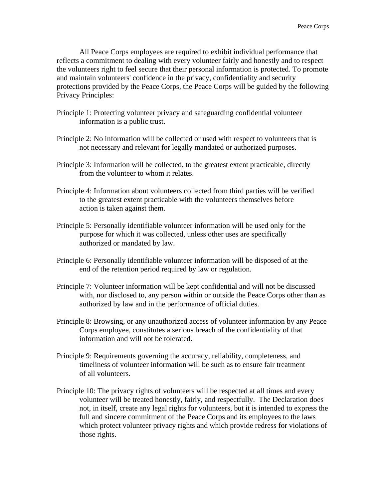All Peace Corps employees are required to exhibit individual performance that reflects a commitment to dealing with every volunteer fairly and honestly and to respect the volunteers right to feel secure that their personal information is protected. To promote and maintain volunteers' confidence in the privacy, confidentiality and security protections provided by the Peace Corps, the Peace Corps will be guided by the following Privacy Principles:

- Principle 1: Protecting volunteer privacy and safeguarding confidential volunteer information is a public trust.
- Principle 2: No information will be collected or used with respect to volunteers that is not necessary and relevant for legally mandated or authorized purposes.
- Principle 3: Information will be collected, to the greatest extent practicable, directly from the volunteer to whom it relates.
- Principle 4: Information about volunteers collected from third parties will be verified to the greatest extent practicable with the volunteers themselves before action is taken against them.
- Principle 5: Personally identifiable volunteer information will be used only for the purpose for which it was collected, unless other uses are specifically authorized or mandated by law.
- Principle 6: Personally identifiable volunteer information will be disposed of at the end of the retention period required by law or regulation.
- Principle 7: Volunteer information will be kept confidential and will not be discussed with, nor disclosed to, any person within or outside the Peace Corps other than as authorized by law and in the performance of official duties.
- Principle 8: Browsing, or any unauthorized access of volunteer information by any Peace Corps employee, constitutes a serious breach of the confidentiality of that information and will not be tolerated.
- Principle 9: Requirements governing the accuracy, reliability, completeness, and timeliness of volunteer information will be such as to ensure fair treatment of all volunteers.
- Principle 10: The privacy rights of volunteers will be respected at all times and every volunteer will be treated honestly, fairly, and respectfully. The Declaration does not, in itself, create any legal rights for volunteers, but it is intended to express the full and sincere commitment of the Peace Corps and its employees to the laws which protect volunteer privacy rights and which provide redress for violations of those rights.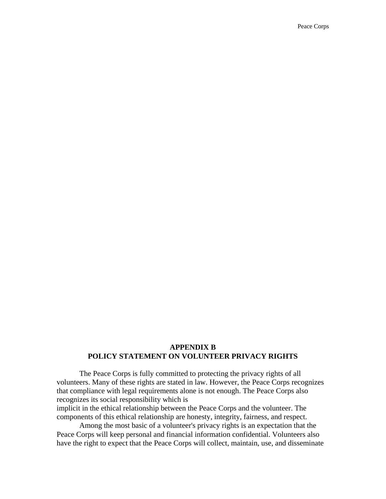#### **APPENDIX B POLICY STATEMENT ON VOLUNTEER PRIVACY RIGHTS**

The Peace Corps is fully committed to protecting the privacy rights of all volunteers. Many of these rights are stated in law. However, the Peace Corps recognizes that compliance with legal requirements alone is not enough. The Peace Corps also recognizes its social responsibility which is

implicit in the ethical relationship between the Peace Corps and the volunteer. The components of this ethical relationship are honesty, integrity, fairness, and respect.

Among the most basic of a volunteer's privacy rights is an expectation that the Peace Corps will keep personal and financial information confidential. Volunteers also have the right to expect that the Peace Corps will collect, maintain, use, and disseminate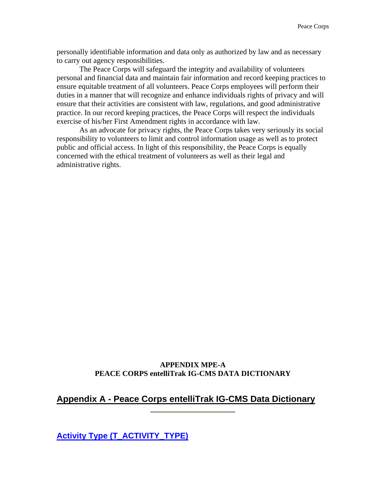personally identifiable information and data only as authorized by law and as necessary to carry out agency responsibilities.

The Peace Corps will safeguard the integrity and availability of volunteers personal and financial data and maintain fair information and record keeping practices to ensure equitable treatment of all volunteers. Peace Corps employees will perform their duties in a manner that will recognize and enhance individuals rights of privacy and will ensure that their activities are consistent with law, regulations, and good administrative practice. In our record keeping practices, the Peace Corps will respect the individuals exercise of his/her First Amendment rights in accordance with law.

As an advocate for privacy rights, the Peace Corps takes very seriously its social responsibility to volunteers to limit and control information usage as well as to protect public and official access. In light of this responsibility, the Peace Corps is equally concerned with the ethical treatment of volunteers as well as their legal and administrative rights.

#### **APPENDIX MPE-A PEACE CORPS entelliTrak IG-CMS DATA DICTIONARY**

#### **Appendix A - Peace Corps entelliTrak IG-CMS Data Dictionary**

**Activity Type (T\_ACTIVITY\_TYPE)**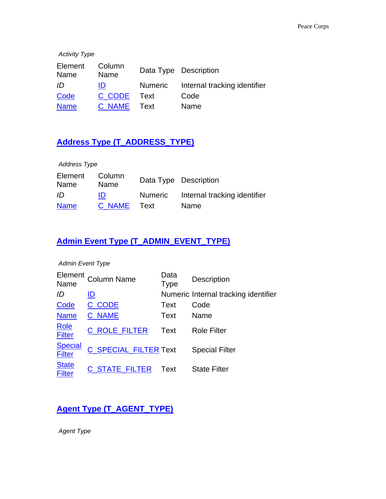| <b>Activity Type</b> |                |         |                              |
|----------------------|----------------|---------|------------------------------|
| Element<br>Name      | Column<br>Name |         | Data Type Description        |
| ID                   | ID             | Numeric | Internal tracking identifier |
| Code                 | C CODE         | Text    | Code                         |
| <b>Name</b>          | C NAME         | Text    | Name                         |

### **Address Type (T\_ADDRESS\_TYPE)**

| <b>Address Type</b> |                |                                      |
|---------------------|----------------|--------------------------------------|
| Element<br>Name     | Column<br>Name | Data Type Description                |
| ID                  | ID             | Numeric Internal tracking identifier |
| <b>Name</b>         | C NAME Text    | Name                                 |

### **Admin Event Type (T\_ADMIN\_EVENT\_TYPE)**

#### *Admin Event Type*

| Element<br>Name                 | <b>Column Name</b>           | Data<br><b>Type</b> | Description                          |
|---------------------------------|------------------------------|---------------------|--------------------------------------|
| ID                              | ID                           |                     | Numeric Internal tracking identifier |
| Code                            | C CODE                       | Text                | Code                                 |
| <b>Name</b>                     | <b>C_NAME</b>                | Text                | Name                                 |
| <b>Role</b><br><b>Filter</b>    | <b>C ROLE FILTER</b>         | <b>Text</b>         | <b>Role Filter</b>                   |
| <b>Special</b><br><b>Filter</b> | <b>C_SPECIAL_FILTER Text</b> |                     | <b>Special Filter</b>                |
| <b>State</b><br><b>Filter</b>   | <b>C STATE FILTER</b>        | Text                | <b>State Filter</b>                  |

### **Agent Type (T\_AGENT\_TYPE)**

*Agent Type*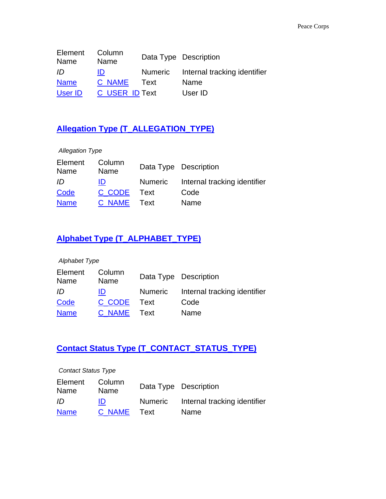| Element<br>Name | Column<br>Name        |      | Data Type Description                |
|-----------------|-----------------------|------|--------------------------------------|
| ID              | ID                    |      | Numeric Internal tracking identifier |
| <b>Name</b>     | C NAME                | Text | Name                                 |
| User ID         | <b>C USER ID Text</b> |      | User ID                              |

### **Allegation Type (T\_ALLEGATION\_TYPE)**

| <b>Allegation Type</b> |                |                |                              |
|------------------------|----------------|----------------|------------------------------|
| Element<br>Name        | Column<br>Name |                | Data Type Description        |
| ID                     | ID             | <b>Numeric</b> | Internal tracking identifier |
| Code                   | C CODE         | Text           | Code                         |
| <b>Name</b>            | C NAME         | Text           | Name                         |

### **Alphabet Type (T\_ALPHABET\_TYPE)**

| Alphabet Type   |                |                |                              |
|-----------------|----------------|----------------|------------------------------|
| Element<br>Name | Column<br>Name |                | Data Type Description        |
| ID              | ID             | <b>Numeric</b> | Internal tracking identifier |
| Code            | C CODE         | Text           | Code                         |
| <b>Name</b>     | C NAME         | Text           | Name                         |

### **Contact Status Type (T\_CONTACT\_STATUS\_TYPE)**

| <b>Contact Status Type</b> |                |         |                              |
|----------------------------|----------------|---------|------------------------------|
| Element<br>Name            | Column<br>Name |         | Data Type Description        |
| ID                         | ID             | Numeric | Internal tracking identifier |
| <b>Name</b>                | C NAME         | Text    | Name                         |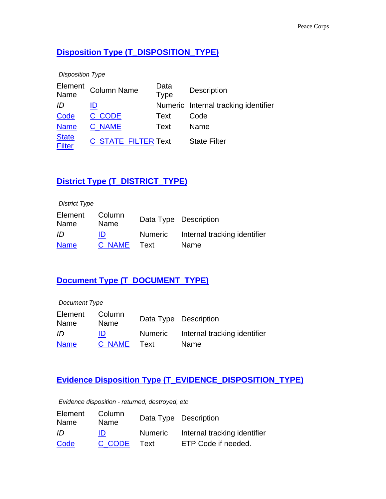### **Disposition Type (T\_DISPOSITION\_TYPE)**

| <b>Disposition Type</b>       |                            |                     |                                      |
|-------------------------------|----------------------------|---------------------|--------------------------------------|
| Element<br>Name               | <b>Column Name</b>         | Data<br><b>Type</b> | <b>Description</b>                   |
| ID                            | ID                         |                     | Numeric Internal tracking identifier |
| Code                          | C CODE                     | Text                | Code                                 |
| <b>Name</b>                   | <b>C NAME</b>              | Text                | Name                                 |
| <b>State</b><br><b>Filter</b> | <b>C STATE FILTER Text</b> |                     | <b>State Filter</b>                  |

### **District Type (T\_DISTRICT\_TYPE)**

| <b>District Type</b> |                |         |                              |
|----------------------|----------------|---------|------------------------------|
| Element<br>Name      | Column<br>Name |         | Data Type Description        |
| ID                   | ID             | Numeric | Internal tracking identifier |
| <b>Name</b>          | C NAME         | Text    | Name                         |

### **Document Type (T\_DOCUMENT\_TYPE)**

| Document Type   |                |         |                              |
|-----------------|----------------|---------|------------------------------|
| Element<br>Name | Column<br>Name |         | Data Type Description        |
| ID              | ID             | Numeric | Internal tracking identifier |
| <b>Name</b>     | C NAME         | Text    | Name                         |

### **Evidence Disposition Type (T\_EVIDENCE\_DISPOSITION\_TYPE)**

*Evidence disposition - returned, destroyed, etc*

| Element<br>Name | Column<br>Name |         | Data Type Description        |
|-----------------|----------------|---------|------------------------------|
| ID              | ID             | Numeric | Internal tracking identifier |
| Code            | C CODE         | Text    | ETP Code if needed.          |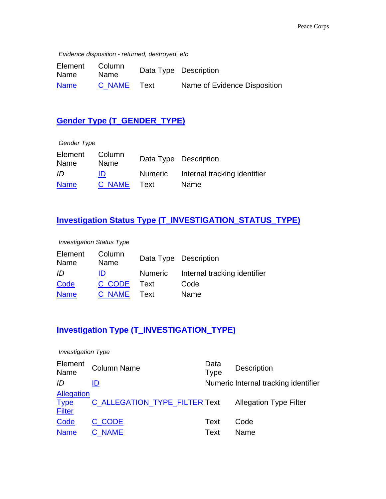*Evidence disposition - returned, destroyed, etc*

| Element<br>Name | Column<br><b>Name</b> |      | Data Type Description        |
|-----------------|-----------------------|------|------------------------------|
| <b>Name</b>     | C NAME                | ⊤ext | Name of Evidence Disposition |

### **Gender Type (T\_GENDER\_TYPE)**

| Gender Type     |                |                |                              |
|-----------------|----------------|----------------|------------------------------|
| Element<br>Name | Column<br>Name |                | Data Type Description        |
| ID              | ID             | <b>Numeric</b> | Internal tracking identifier |
| <b>Name</b>     | C NAME         | Text           | Name                         |

### **Investigation Status Type (T\_INVESTIGATION\_STATUS\_TYPE)**

*Investigation Status Type*

| Element<br>Name | Column<br>Name |         | Data Type Description        |
|-----------------|----------------|---------|------------------------------|
| ID              | ID             | Numeric | Internal tracking identifier |
| Code            | C CODE         | Text    | Code                         |
| <b>Name</b>     | C NAME Text    |         | Name                         |

### **Investigation Type (T\_INVESTIGATION\_TYPE)**

| <b>Investigation Type</b>                  |                               |                     |                                      |
|--------------------------------------------|-------------------------------|---------------------|--------------------------------------|
| Element<br>Name                            | <b>Column Name</b>            | Data<br><b>Type</b> | <b>Description</b>                   |
| ID                                         | ID                            |                     | Numeric Internal tracking identifier |
| Allegation<br><b>Type</b><br><b>Filter</b> | C ALLEGATION TYPE FILTER Text |                     | <b>Allegation Type Filter</b>        |
| Code                                       | C CODE                        | Text                | Code                                 |
| <b>Name</b>                                | <b>NAME</b>                   | Text                | Name                                 |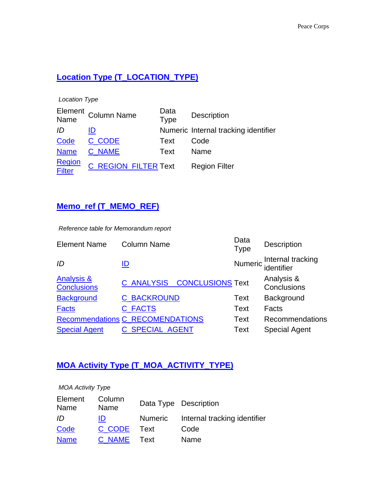### **Location Type (T\_LOCATION\_TYPE)**

*Location Type*

|                  | Element<br>Name Column Name | Data<br><b>Type</b>         | <b>Description</b>                   |
|------------------|-----------------------------|-----------------------------|--------------------------------------|
| ID               | ID                          |                             | Numeric Internal tracking identifier |
| Code             | C CODE                      | Text                        | Code                                 |
| <b>Name</b>      | C NAME                      | Text                        | Name                                 |
| Region<br>Filter |                             | <b>C_REGION_FILTER Text</b> | <b>Region Filter</b>                 |

### **Memo\_ref (T\_MEMO\_REF)**

*Reference table for Memorandum report*

| <b>Element Name</b>                         | <b>Column Name</b>                      | Data<br><b>Type</b> | Description                             |
|---------------------------------------------|-----------------------------------------|---------------------|-----------------------------------------|
| ID                                          | <u>ID</u>                               |                     | Numeric Internal tracking<br>identifier |
| <b>Analysis &amp;</b><br><b>Conclusions</b> | <b>C_ANALYSIS__CONCLUSIONS Text</b>     |                     | Analysis &<br>Conclusions               |
| <b>Background</b>                           | <b>C_BACKROUND</b>                      | <b>Text</b>         | Background                              |
| <b>Facts</b>                                | <b>C_FACTS</b>                          | Text                | Facts                                   |
|                                             | <b>Recommendations C_RECOMENDATIONS</b> | Text                | Recommendations                         |
| <b>Special Agent</b>                        | <b>C_SPECIAL_AGENT</b>                  | <b>Text</b>         | <b>Special Agent</b>                    |
|                                             |                                         |                     |                                         |

### **MOA Activity Type (T\_MOA\_ACTIVITY\_TYPE)**

| <b>MOA Activity Type</b> |                |         |                              |  |
|--------------------------|----------------|---------|------------------------------|--|
| Element<br>Name          | Column<br>Name |         | Data Type Description        |  |
| ID                       | ID             | Numeric | Internal tracking identifier |  |
| Code                     | C CODE         | Text    | Code                         |  |
| <b>Name</b>              | C NAME         | Text    | Name                         |  |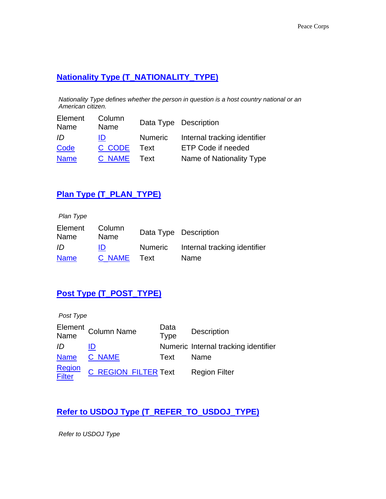### **Nationality Type (T\_NATIONALITY\_TYPE)**

*Nationality Type defines whether the person in question is a host country national or an American citizen.*

| Element<br>Name | Column<br>Name |         | Data Type Description        |
|-----------------|----------------|---------|------------------------------|
| ID              | ID             | Numeric | Internal tracking identifier |
| Code            | C CODE         | Text    | ETP Code if needed           |
| <b>Name</b>     | C NAME         | Text    | Name of Nationality Type     |

### **Plan Type (T\_PLAN\_TYPE)**

| Plan Type       |                |         |                              |
|-----------------|----------------|---------|------------------------------|
| Element<br>Name | Column<br>Name |         | Data Type Description        |
| ID              | ID             | Numeric | Internal tracking identifier |
| <b>Name</b>     | C NAME         | Text    | Name                         |

### **Post Type (T\_POST\_TYPE)**

| Post Type        |                             |                     |                                      |
|------------------|-----------------------------|---------------------|--------------------------------------|
|                  | Element<br>Name Column Name | Data<br><b>Type</b> | <b>Description</b>                   |
| ID               | ID                          |                     | Numeric Internal tracking identifier |
| <b>Name</b>      | C NAME                      | Text                | Name                                 |
| Region<br>Filter | <b>C_REGION_FILTER Text</b> |                     | <b>Region Filter</b>                 |

### **Refer to USDOJ Type (T\_REFER\_TO\_USDOJ\_TYPE)**

*Refer to USDOJ Type*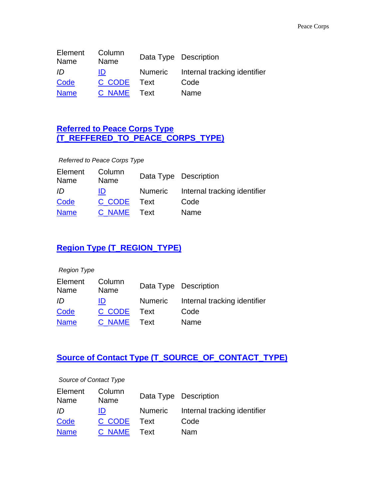| Element<br>Name | Column<br>Name |         | Data Type Description        |
|-----------------|----------------|---------|------------------------------|
| ID              | ID             | Numeric | Internal tracking identifier |
| Code            | C CODE         | Text    | Code                         |
| <b>Name</b>     | C NAME         | Text    | Name                         |

### **Referred to Peace Corps Type (T\_REFFERED\_TO\_PEACE\_CORPS\_TYPE)**

*Referred to Peace Corps Type*

| Element<br>Name | Column<br>Name |         | Data Type Description        |
|-----------------|----------------|---------|------------------------------|
| ID              | ID             | Numeric | Internal tracking identifier |
| Code            | C CODE         | Text    | Code                         |
| <b>Name</b>     | C NAME Text    |         | Name                         |

### **Region Type (T\_REGION\_TYPE)**

| <b>Region Type</b> |                |                |                              |
|--------------------|----------------|----------------|------------------------------|
| Element<br>Name    | Column<br>Name |                | Data Type Description        |
| ID                 | ID             | <b>Numeric</b> | Internal tracking identifier |
| Code               | C CODE         | Text           | Code                         |
| <b>Name</b>        | C NAME         | Text           | Name                         |

### **Source of Contact Type (T\_SOURCE\_OF\_CONTACT\_TYPE)**

#### *Source of Contact Type*

| Element<br>Name | Column<br>Name |         | Data Type Description        |
|-----------------|----------------|---------|------------------------------|
| ID              | ID             | Numeric | Internal tracking identifier |
| Code            | C CODE         | ⊤ Text  | Code                         |
| <b>Name</b>     | C NAME Text    |         | Nam                          |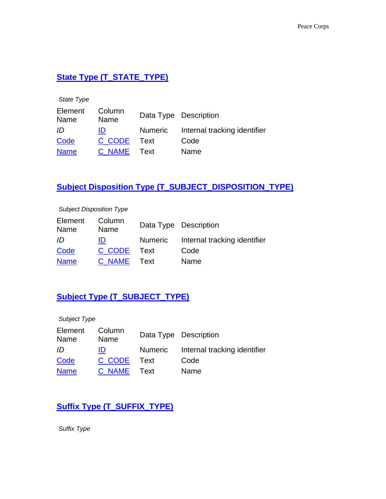### **State Type (T\_STATE\_TYPE)**

| State Type      |                |                |                              |
|-----------------|----------------|----------------|------------------------------|
| Element<br>Name | Column<br>Name |                | Data Type Description        |
| ID              | ID             | <b>Numeric</b> | Internal tracking identifier |
| Code            | C CODE         | Text           | Code                         |
| <b>Name</b>     | <b>C NAME</b>  | Text           | Name                         |

### **Subject Disposition Type (T\_SUBJECT\_DISPOSITION\_TYPE)**

#### *Subject Disposition Type*

| Element<br>Name | Column<br>Name |         | Data Type Description        |
|-----------------|----------------|---------|------------------------------|
| ID              | ID             | Numeric | Internal tracking identifier |
| Code            | C CODE Text    |         | Code                         |
| <b>Name</b>     | C NAME Text    |         | Name                         |

### **Subject Type (T\_SUBJECT\_TYPE)**

| Subject Type    |                |         |                              |
|-----------------|----------------|---------|------------------------------|
| Element<br>Name | Column<br>Name |         | Data Type Description        |
| ID              | ID             | Numeric | Internal tracking identifier |
| Code            | C CODE         | Text    | Code                         |
| <b>Name</b>     | C NAME         | Text    | Name                         |

### **Suffix Type (T\_SUFFIX\_TYPE)**

*Suffix Type*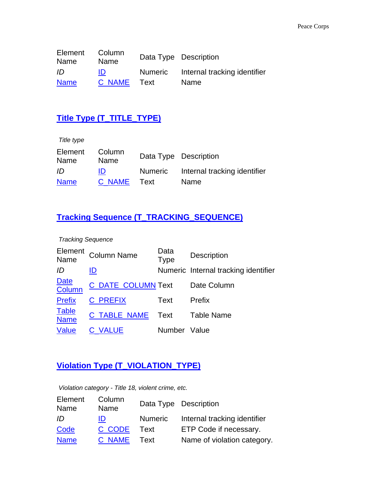| Element<br>Name | Column<br>Name |         | Data Type Description        |
|-----------------|----------------|---------|------------------------------|
| ID              | IDI            | Numeric | Internal tracking identifier |
| <b>Name</b>     | C NAME Text    |         | <b>Name</b>                  |

### **Title Type (T\_TITLE\_TYPE)**

| Title type      |                |         |                              |
|-----------------|----------------|---------|------------------------------|
| Element<br>Name | Column<br>Name |         | Data Type Description        |
| ID              | ID             | Numeric | Internal tracking identifier |
| <b>Name</b>     | C NAME         | Text    | Name                         |

### **Tracking Sequence (T\_TRACKING\_SEQUENCE)**

*Tracking Sequence*

| Element<br>Name             | <b>Column Name</b>        | Data<br><b>Type</b> | <b>Description</b>                   |
|-----------------------------|---------------------------|---------------------|--------------------------------------|
| ID                          | ID                        |                     | Numeric Internal tracking identifier |
| Date<br>Column              | <b>C_DATE_COLUMN Text</b> |                     | Date Column                          |
| <b>Prefix</b>               | <b>C PREFIX</b>           | Text                | Prefix                               |
| <b>Table</b><br><b>Name</b> | <b>C_TABLE_NAME</b>       | Text                | <b>Table Name</b>                    |
| Value                       | <b>C VALUE</b>            | Number Value        |                                      |

### **Violation Type (T\_VIOLATION\_TYPE)**

*Violation category - Title 18, violent crime, etc.*

| Element<br>Name | Column<br>Name |                | Data Type Description        |
|-----------------|----------------|----------------|------------------------------|
| ID              | ID             | <b>Numeric</b> | Internal tracking identifier |
| Code            | C CODE         | Text           | ETP Code if necessary.       |
| <b>Name</b>     | C NAME         | Text           | Name of violation category.  |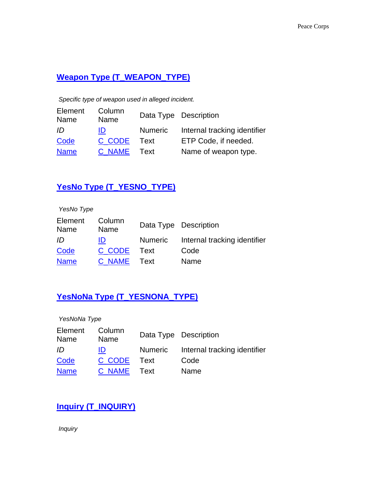### **Weapon Type (T\_WEAPON\_TYPE)**

*Specific type of weapon used in alleged incident.*

| Element<br>Name | Column<br>Name |                | Data Type Description        |
|-----------------|----------------|----------------|------------------------------|
| ID              | ID             | <b>Numeric</b> | Internal tracking identifier |
| Code            | C CODE         | Text           | ETP Code, if needed.         |
| <b>Name</b>     | C NAME         | Text           | Name of weapon type.         |

### **YesNo Type (T\_YESNO\_TYPE)**

| YesNo Type      |                |         |                              |
|-----------------|----------------|---------|------------------------------|
| Element<br>Name | Column<br>Name |         | Data Type Description        |
| ID              | ID             | Numeric | Internal tracking identifier |
| Code            | C CODE         | Text    | Code                         |
| <b>Name</b>     | C NAME         | Text    | Name                         |

### **YesNoNa Type (T\_YESNONA\_TYPE)**

| YesNoNa Type    |                |         |                              |
|-----------------|----------------|---------|------------------------------|
| Element<br>Name | Column<br>Name |         | Data Type Description        |
| ID              | ID             | Numeric | Internal tracking identifier |
| Code            | C CODE         | Text    | Code                         |
| <b>Name</b>     | C NAME         | Text    | Name                         |

### **Inquiry (T\_INQUIRY)**

*Inquiry*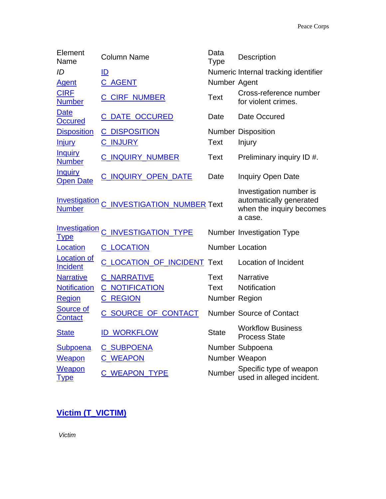| Element<br>Name                       | <b>Column Name</b>                        | Data<br><b>Type</b> | Description                                                                               |
|---------------------------------------|-------------------------------------------|---------------------|-------------------------------------------------------------------------------------------|
| ID                                    | ID                                        |                     | Numeric Internal tracking identifier                                                      |
| <b>Agent</b>                          | <b>C_AGENT</b>                            | Number Agent        |                                                                                           |
| <b>CIRF</b><br><b>Number</b>          | <b>C_CIRF_NUMBER</b>                      | Text                | Cross-reference number<br>for violent crimes.                                             |
| <b>Date</b><br><b>Occured</b>         | <b>C DATE OCCURED</b>                     | Date                | Date Occured                                                                              |
| <b>Disposition</b>                    | <b>C DISPOSITION</b>                      |                     | <b>Number Disposition</b>                                                                 |
| <b>Injury</b>                         | <b>C_INJURY</b>                           | <b>Text</b>         | Injury                                                                                    |
| <b>Inquiry</b><br><b>Number</b>       | <b>C_INQUIRY_NUMBER</b>                   | Text                | Preliminary inquiry ID #.                                                                 |
| <b>Inquiry</b><br><b>Open Date</b>    | C_INQUIRY_OPEN_DATE                       | Date                | <b>Inquiry Open Date</b>                                                                  |
| <b>Number</b>                         | Investigation C_INVESTIGATION_NUMBER Text |                     | Investigation number is<br>automatically generated<br>when the inquiry becomes<br>a case. |
| Investigation<br><u>Type</u>          | <b>INVESTIGATION TYPE</b>                 |                     | Number Investigation Type                                                                 |
| Location                              | <b>C_LOCATION</b>                         |                     | <b>Number Location</b>                                                                    |
| <b>Location of</b><br><b>Incident</b> | <b>C_LOCATION_OF_INCIDENT_Text</b>        |                     | <b>Location of Incident</b>                                                               |
| <b>Narrative</b>                      | <b>C_NARRATIVE</b>                        | Text                | <b>Narrative</b>                                                                          |
| <b>Notification</b>                   | <b>C_NOTIFICATION</b>                     | Text                | Notification                                                                              |
| <b>Region</b>                         | <b>C_REGION</b>                           | Number Region       |                                                                                           |
| <b>Source of</b><br><b>Contact</b>    | C SOURCE OF CONTACT                       |                     | <b>Number Source of Contact</b>                                                           |
| <b>State</b>                          | <b>ID_WORKFLOW</b>                        | <b>State</b>        | <b>Workflow Business</b><br><b>Process State</b>                                          |
| <b>Subpoena</b>                       | <b>C_SUBPOENA</b>                         |                     | Number Subpoena                                                                           |
| <b>Weapon</b>                         | <b>C_WEAPON</b>                           |                     | Number Weapon                                                                             |
| <b>Weapon</b><br><u>Type</u>          | <b>C_WEAPON_TYPE</b>                      | Number              | Specific type of weapon<br>used in alleged incident.                                      |

### **Victim (T\_VICTIM)**

*Victim*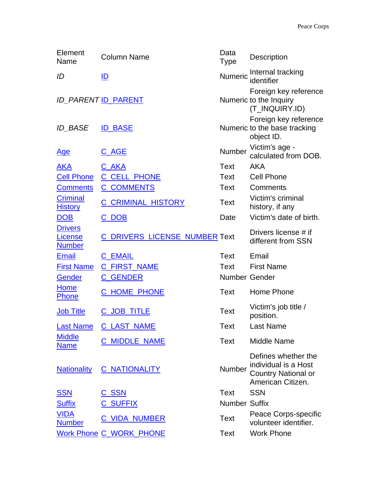| Element<br>Name                                   | <b>Column Name</b>                   | Data<br><b>Type</b>  | Description                                                                                    |
|---------------------------------------------------|--------------------------------------|----------------------|------------------------------------------------------------------------------------------------|
| ID                                                | ID                                   |                      | Numeric Internal tracking<br>identifier                                                        |
|                                                   | <b>ID PARENT ID_PARENT</b>           |                      | Foreign key reference<br>Numeric to the Inquiry<br>(T_INQUIRY.ID)                              |
| <b>ID BASE</b>                                    | <b>ID_BASE</b>                       |                      | Foreign key reference<br>Numeric to the base tracking<br>object ID.                            |
| <u>Age</u>                                        | <u>C_AGE</u>                         | Number               | Victim's age -<br>calculated from DOB.                                                         |
| <u>AKA</u>                                        | <u>C_AKA</u>                         | Text                 | <b>AKA</b>                                                                                     |
| <b>Cell Phone</b>                                 | C_CELL_PHONE                         | Text                 | <b>Cell Phone</b>                                                                              |
| <b>Comments</b>                                   | <b>C_COMMENTS</b>                    | Text                 | Comments                                                                                       |
| <b>Criminal</b><br><b>History</b>                 | <b>C_CRIMINAL_HISTORY</b>            | Text                 | Victim's criminal<br>history, if any                                                           |
| <b>DOB</b>                                        | <u>C_DOB</u>                         | Date                 | Victim's date of birth.                                                                        |
| <b>Drivers</b><br><u>License</u><br><b>Number</b> | <b>C_DRIVERS_LICENSE_NUMBER Text</b> |                      | Drivers license # if<br>different from SSN                                                     |
| <b>Email</b>                                      | <b>C_EMAIL</b>                       | Text                 | Email                                                                                          |
| <b>First Name</b>                                 | C_FIRST_NAME                         | Text                 | <b>First Name</b>                                                                              |
| Gender                                            | <b>C_GENDER</b>                      | Number Gender        |                                                                                                |
| <b>Home</b><br><b>Phone</b>                       | C_HOME_PHONE                         | Text                 | Home Phone                                                                                     |
| <b>Job Title</b>                                  | C JOB TITLE                          | Text                 | Victim's job title /<br>position.                                                              |
| <b>Last Name</b>                                  | <b>C_LAST NAME</b>                   | <b>Text</b>          | <b>Last Name</b>                                                                               |
| <b>Middle</b><br><b>Name</b>                      | <b>C_MIDDLE_NAME</b>                 | Text                 | <b>Middle Name</b>                                                                             |
| <b>Nationality</b>                                | <b>C_NATIONALITY</b>                 | Number               | Defines whether the<br>individual is a Host<br><b>Country National or</b><br>American Citizen. |
| <u>SSN</u>                                        | <u>C_SSN</u>                         | Text                 | <b>SSN</b>                                                                                     |
| <b>Suffix</b>                                     | <b>C_SUFFIX</b>                      | <b>Number Suffix</b> |                                                                                                |
| <b>VIDA</b><br><b>Number</b>                      | <u>C_VIDA_NUMBER</u>                 | Text                 | Peace Corps-specific<br>volunteer identifier.                                                  |
|                                                   | <b>Work Phone C_WORK_PHONE</b>       | Text                 | <b>Work Phone</b>                                                                              |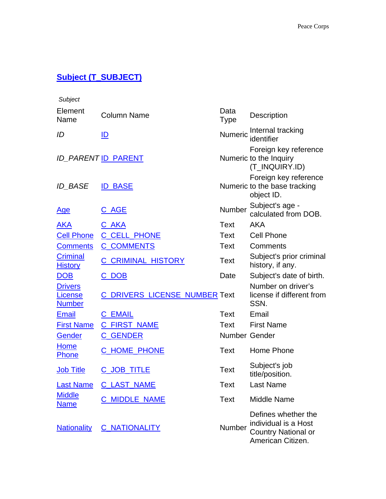### **Subject (T\_SUBJECT)**

| Subject                                    |                                      |                     |                                                                                                |
|--------------------------------------------|--------------------------------------|---------------------|------------------------------------------------------------------------------------------------|
| Element<br>Name                            | <b>Column Name</b>                   | Data<br><b>Type</b> | Description                                                                                    |
| ID                                         | ID                                   | Numeric             | Internal tracking<br>identifier                                                                |
|                                            | <b>ID_PARENT ID_PARENT</b>           |                     | Foreign key reference<br>Numeric to the Inquiry<br>(T_INQUIRY.ID)                              |
| <b>ID_BASE</b>                             | <b>ID BASE</b>                       |                     | Foreign key reference<br>Numeric to the base tracking<br>object ID.                            |
| <u>Age</u>                                 | C_AGE                                | Number              | Subject's age -<br>calculated from DOB.                                                        |
| <u>AKA</u>                                 | <u>C_AKA</u>                         | Text                | <b>AKA</b>                                                                                     |
| <b>Cell Phone</b>                          | C CELL PHONE                         | <b>Text</b>         | <b>Cell Phone</b>                                                                              |
| <b>Comments</b>                            | <b>C_COMMENTS</b>                    | Text                | Comments                                                                                       |
| <b>Criminal</b><br><b>History</b>          | <b>C CRIMINAL HISTORY</b>            | Text                | Subject's prior criminal<br>history, if any.                                                   |
| <b>DOB</b>                                 | C_DOB                                | Date                | Subject's date of birth.                                                                       |
| <b>Drivers</b><br>License<br><b>Number</b> | <b>C_DRIVERS_LICENSE_NUMBER Text</b> |                     | Number on driver's<br>license if different from<br>SSN.                                        |
| <b>Email</b>                               | <b>C_EMAIL</b>                       | Text                | Email                                                                                          |
| <b>First Name</b>                          | <b>C_FIRST_NAME</b>                  | Text                | <b>First Name</b>                                                                              |
| <b>Gender</b>                              | <b>C_GENDER</b>                      | Number Gender       |                                                                                                |
| Home<br><b>Phone</b>                       | <b>C_HOME_PHONE</b>                  | Text                | Home Phone                                                                                     |
| <b>Job Title</b>                           | <b>C_JOB_TITLE</b>                   | Text                | Subject's job<br>title/position.                                                               |
| <b>Last Name</b>                           | <b>C_LAST_NAME</b>                   | <b>Text</b>         | <b>Last Name</b>                                                                               |
| <b>Middle</b><br><b>Name</b>               | <b>C MIDDLE NAME</b>                 | Text                | <b>Middle Name</b>                                                                             |
| <b>Nationality</b>                         | <b>C_NATIONALITY</b>                 | Number              | Defines whether the<br>individual is a Host<br><b>Country National or</b><br>American Citizen. |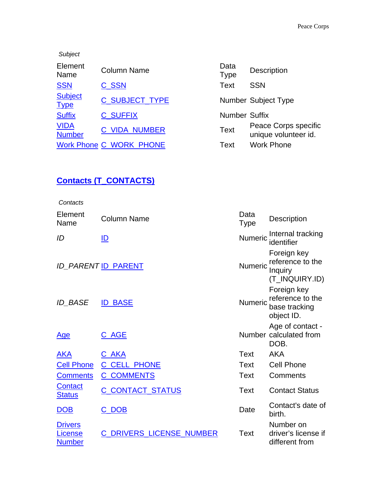| Subject                       |                                |                      |                                              |
|-------------------------------|--------------------------------|----------------------|----------------------------------------------|
| Element<br>Name               | <b>Column Name</b>             | Data<br><b>Type</b>  | <b>Description</b>                           |
| <b>SSN</b>                    | C_SSN                          | <b>Text</b>          | <b>SSN</b>                                   |
| <b>Subject</b><br><b>Type</b> | <b>C_SUBJECT_TYPE</b>          |                      | <b>Number Subject Type</b>                   |
| <b>Suffix</b>                 | <b>C SUFFIX</b>                | <b>Number Suffix</b> |                                              |
| <b>VIDA</b><br><b>Number</b>  | <b>C_VIDA_NUMBER</b>           | <b>Text</b>          | Peace Corps specific<br>unique volunteer id. |
|                               | <b>Work Phone C WORK PHONE</b> | Text                 | <b>Work Phone</b>                            |

| Data<br><b>Type</b> | <b>Description</b>                           |
|---------------------|----------------------------------------------|
| Text                | <b>SSN</b>                                   |
|                     | <b>Number Subject Type</b>                   |
| Number Suffix       |                                              |
| Text                | Peace Corps specific<br>unique volunteer id. |
| Text                | <b>Work Phone</b>                            |

### **Contacts (T\_CONTACTS)**

| Contacts                                   |                                 |                     |                                                                |
|--------------------------------------------|---------------------------------|---------------------|----------------------------------------------------------------|
| Element<br>Name                            | Column Name                     | Data<br><b>Type</b> | <b>Description</b>                                             |
| ID                                         | ID                              | <b>Numeric</b>      | Internal tracking<br>identifier                                |
|                                            | <b>ID_PARENT ID_PARENT</b>      | Numeric             | Foreign key<br>reference to the<br>Inquiry<br>(T_INQUIRY.ID)   |
| <b>ID BASE</b>                             | <b>ID BASE</b>                  | Numeric             | Foreign key<br>reference to the<br>base tracking<br>object ID. |
| <u>Age</u>                                 | <u>C_AGE</u>                    |                     | Age of contact -<br>Number calculated from<br>DOB.             |
| <b>AKA</b>                                 | C_AKA                           | Text                | <b>AKA</b>                                                     |
| <b>Cell Phone</b>                          | <b>C_CELL_PHONE</b>             | Text                | <b>Cell Phone</b>                                              |
| <b>Comments</b>                            | <b>C_COMMENTS</b>               | Text                | Comments                                                       |
| <b>Contact</b><br><b>Status</b>            | C CONTACT STATUS                | Text                | <b>Contact Status</b>                                          |
| <b>DOB</b>                                 | C_DOB                           | Date                | Contact's date of<br>birth.                                    |
| <b>Drivers</b><br>License<br><b>Number</b> | <b>C_DRIVERS_LICENSE_NUMBER</b> | Text                | Number on<br>driver's license if<br>different from             |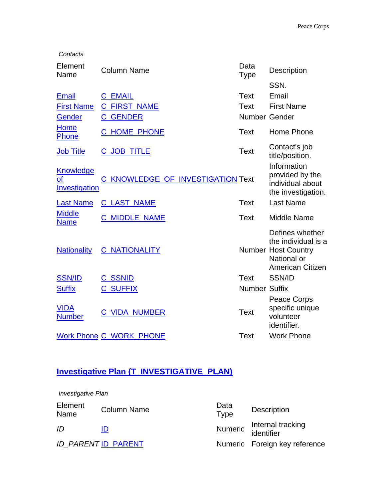| Contacts                                            |                                   |                      |                                                                                                         |
|-----------------------------------------------------|-----------------------------------|----------------------|---------------------------------------------------------------------------------------------------------|
| Element<br>Name                                     | <b>Column Name</b>                | Data<br><b>Type</b>  | Description                                                                                             |
|                                                     |                                   |                      | SSN.                                                                                                    |
| <b>Email</b>                                        | <b>C_EMAIL</b>                    | <b>Text</b>          | Email                                                                                                   |
| <b>First Name</b>                                   | <b>C_FIRST_NAME</b>               | Text                 | <b>First Name</b>                                                                                       |
| <b>Gender</b>                                       | <b>C_GENDER</b>                   | Number Gender        |                                                                                                         |
| Home<br>Phone                                       | <b>C_HOME_PHONE</b>               | <b>Text</b>          | Home Phone                                                                                              |
| <b>Job Title</b>                                    | C_JOB_TITLE                       | Text                 | Contact's job<br>title/position.                                                                        |
| <b>Knowledge</b><br>$\mathbf{Q}$ f<br>Investigation | C_KNOWLEDGE_OF_INVESTIGATION Text |                      | Information<br>provided by the<br>individual about<br>the investigation.                                |
| <b>Last Name</b>                                    | <b>C LAST NAME</b>                | Text                 | <b>Last Name</b>                                                                                        |
| <b>Middle</b><br><b>Name</b>                        | <b>C_MIDDLE_NAME</b>              | Text                 | <b>Middle Name</b>                                                                                      |
| <b>Nationality</b>                                  | <b>C_NATIONALITY</b>              |                      | Defines whether<br>the individual is a<br><b>Number Host Country</b><br>National or<br>American Citizen |
| <b>SSN/ID</b>                                       | <b>C_SSNID</b>                    | <b>Text</b>          | SSN/ID                                                                                                  |
| <b>Suffix</b>                                       | <b>C_SUFFIX</b>                   | <b>Number Suffix</b> |                                                                                                         |
| <b>VIDA</b><br><b>Number</b>                        | <b>C_VIDA_NUMBER</b>              | <b>Text</b>          | Peace Corps<br>specific unique<br>volunteer<br>identifier.                                              |
|                                                     | <b>Work Phone C_WORK_PHONE</b>    | <b>Text</b>          | <b>Work Phone</b>                                                                                       |

## **Investigative Plan (T\_INVESTIGATIVE\_PLAN)**

| <b>Investigative Plan</b> |                     |                     |                                         |  |  |
|---------------------------|---------------------|---------------------|-----------------------------------------|--|--|
| Element<br>Name           | <b>Column Name</b>  | Data<br><b>Type</b> | <b>Description</b>                      |  |  |
| ID                        | ID                  |                     | Numeric Internal tracking<br>identifier |  |  |
|                           | ID_PARENT ID_PARENT |                     | Numeric Foreign key reference           |  |  |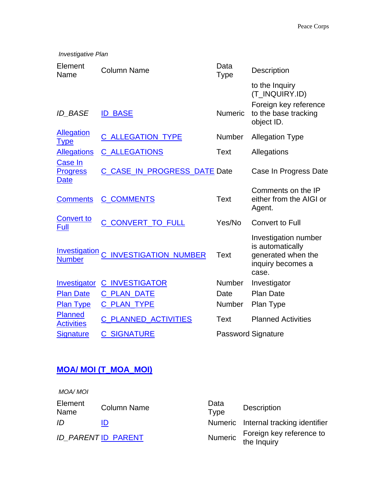| <b>Investigative Plan</b>                 |                               |                     |                                                                                                 |  |
|-------------------------------------------|-------------------------------|---------------------|-------------------------------------------------------------------------------------------------|--|
| Element<br>Name                           | <b>Column Name</b>            | Data<br><b>Type</b> | Description                                                                                     |  |
| <b>ID BASE</b>                            | <b>ID_BASE</b>                | <b>Numeric</b>      | to the Inquiry<br>(T_INQUIRY.ID)<br>Foreign key reference<br>to the base tracking<br>object ID. |  |
| <b>Allegation</b><br><u>Type</u>          | <b>C_ALLEGATION_TYPE</b>      | <b>Number</b>       | <b>Allegation Type</b>                                                                          |  |
| <b>Allegations</b>                        | <b>C_ALLEGATIONS</b>          | Text                | Allegations                                                                                     |  |
| Case In<br><b>Progress</b><br><b>Date</b> | C_CASE_IN_PROGRESS_DATE Date  |                     | Case In Progress Date                                                                           |  |
| <b>Comments</b>                           | <b>C_COMMENTS</b>             | <b>Text</b>         | Comments on the IP<br>either from the AIGI or<br>Agent.                                         |  |
| <b>Convert to</b><br>Full                 | C_CONVERT_TO_FULL             | Yes/No              | <b>Convert to Full</b>                                                                          |  |
| <b>Investigation</b><br><b>Number</b>     | <b>C_INVESTIGATION_NUMBER</b> | Text                | Investigation number<br>is automatically<br>generated when the<br>inquiry becomes a<br>case.    |  |
| Investigator                              | <b>C_INVESTIGATOR</b>         | <b>Number</b>       | Investigator                                                                                    |  |
| <b>Plan Date</b>                          | <b>C PLAN DATE</b>            | Date                | <b>Plan Date</b>                                                                                |  |
| <b>Plan Type</b>                          | <b>C_PLAN_TYPE</b>            | <b>Number</b>       | Plan Type                                                                                       |  |
| <b>Planned</b><br><b>Activities</b>       | <b>C_PLANNED_ACTIVITIES</b>   | Text                | <b>Planned Activities</b>                                                                       |  |
| <b>Signature</b>                          | <b>C_SIGNATURE</b>            |                     | <b>Password Signature</b>                                                                       |  |

### **MOA/ MOI (T\_MOA\_MOI)**

| MOA/ MOI        |                           |                     |                                         |
|-----------------|---------------------------|---------------------|-----------------------------------------|
| Element<br>Name | <b>Column Name</b>        | Data<br><b>Type</b> | <b>Description</b>                      |
| ID              |                           |                     | Numeric Internal tracking identifier    |
|                 | <b>ID PARENTID_PARENT</b> | Numeric             | Foreign key reference to<br>the Inquiry |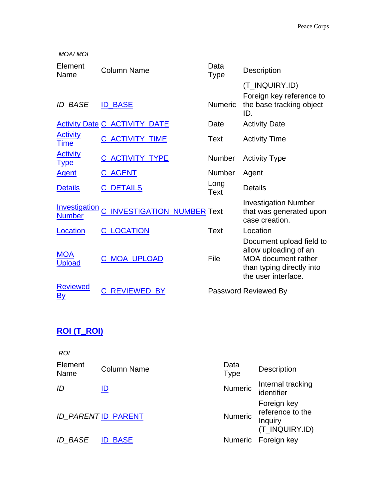| <b>MOA/MOI</b>                        |                                      |                     |                                                                                                                                     |
|---------------------------------------|--------------------------------------|---------------------|-------------------------------------------------------------------------------------------------------------------------------------|
| Element<br>Name                       | Column Name                          | Data<br><b>Type</b> | <b>Description</b>                                                                                                                  |
|                                       |                                      |                     | (T_INQUIRY.ID)                                                                                                                      |
| <b>ID BASE</b>                        | <b>ID BASE</b>                       | <b>Numeric</b>      | Foreign key reference to<br>the base tracking object<br>ID.                                                                         |
|                                       | <b>Activity Date C_ACTIVITY_DATE</b> | Date                | <b>Activity Date</b>                                                                                                                |
| <b>Activity</b><br><b>Time</b>        | C_ACTIVITY_TIME                      | Text                | <b>Activity Time</b>                                                                                                                |
| <b>Activity</b><br><u>Type</u>        | C_ACTIVITY_TYPE                      | <b>Number</b>       | <b>Activity Type</b>                                                                                                                |
| <b>Agent</b>                          | <u>C_AGENT</u>                       | <b>Number</b>       | Agent                                                                                                                               |
| <b>Details</b>                        | <b>C_DETAILS</b>                     | Long<br><b>Text</b> | <b>Details</b>                                                                                                                      |
| <b>Investigation</b><br><b>Number</b> | <b>INVESTIGATION NUMBER Text</b>     |                     | <b>Investigation Number</b><br>that was generated upon<br>case creation.                                                            |
| Location                              | <b>C_LOCATION</b>                    | <b>Text</b>         | Location                                                                                                                            |
| <b>MOA</b><br><b>Upload</b>           | <u>C MOA UPLOAD</u>                  | File                | Document upload field to<br>allow uploading of an<br><b>MOA</b> document rather<br>than typing directly into<br>the user interface. |
| <b>Reviewed</b><br>By                 | <b>REVIEWED BY</b>                   |                     | Password Reviewed By                                                                                                                |

### **ROI (T\_ROI)**

| <b>ROI</b>      |                     |                     |                                                              |
|-----------------|---------------------|---------------------|--------------------------------------------------------------|
| Element<br>Name | <b>Column Name</b>  | Data<br><b>Type</b> | <b>Description</b>                                           |
| ID              | ID                  | <b>Numeric</b>      | Internal tracking<br>identifier                              |
|                 | ID_PARENT ID_PARENT | <b>Numeric</b>      | Foreign key<br>reference to the<br>Inquiry<br>(T_INQUIRY.ID) |
| <b>ID BASE</b>  | <b>ID BASE</b>      |                     | Numeric Foreign key                                          |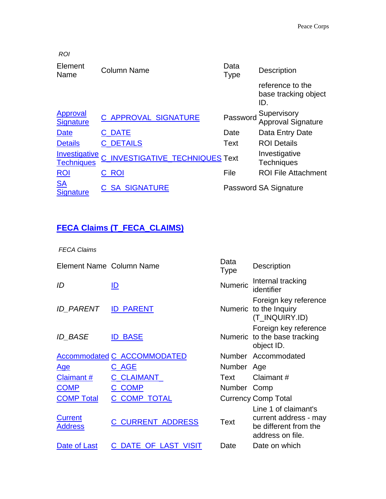| <b>ROI</b>                                |                                 |                     |                                                 |
|-------------------------------------------|---------------------------------|---------------------|-------------------------------------------------|
| Element<br>Name                           | <b>Column Name</b>              | Data<br><b>Type</b> | <b>Description</b>                              |
|                                           |                                 |                     | reference to the<br>base tracking object<br>ID. |
| Approval<br><b>Signature</b>              | C_APPROVAL_SIGNATURE            | Password            | Supervisory<br><b>Approval Signature</b>        |
| <b>Date</b>                               | $\_$ DATE                       | Date                | Data Entry Date                                 |
| <b>Details</b>                            | <b>C DETAILS</b>                | Text                | <b>ROI Details</b>                              |
| <b>Investigative</b><br><b>Techniques</b> | C_INVESTIGATIVE_TECHNIQUES Text |                     | Investigative<br><b>Techniques</b>              |
| ROI                                       | C ROI                           | File                | <b>ROI File Attachment</b>                      |
| <b>SA</b><br><b>Signature</b>             | <b>C SA SIGNATURE</b>           |                     | Password SA Signature                           |

### **FECA Claims (T\_FECA\_CLAIMS)**

*FECA Claims*

| Element Name Column Name         |                                    | Data<br><b>Type</b> | <b>Description</b>                                                                         |
|----------------------------------|------------------------------------|---------------------|--------------------------------------------------------------------------------------------|
| ID                               | ID                                 | <b>Numeric</b>      | Internal tracking<br>identifier                                                            |
| ID PARENT                        | <b>ID_PARENT</b>                   |                     | Foreign key reference<br>Numeric to the Inquiry<br>(T_INQUIRY.ID)                          |
| <b>ID BASE</b>                   | <b>ID BASE</b>                     |                     | Foreign key reference<br>Numeric to the base tracking<br>object ID.                        |
|                                  | <b>Accommodated C_ACCOMMODATED</b> |                     | Number Accommodated                                                                        |
| <u>Age</u>                       | <u>C_AGE</u>                       | Number Age          |                                                                                            |
| Claimant#                        | <b>C_CLAIMANT_</b>                 | Text                | Claimant#                                                                                  |
| <b>COMP</b>                      | C_COMP                             | Number Comp         |                                                                                            |
| <b>COMP Total</b>                | <b>C COMP TOTAL</b>                |                     | <b>Currency Comp Total</b>                                                                 |
| <b>Current</b><br><b>Address</b> | <b>C_CURRENT_ADDRESS</b>           | Text                | Line 1 of claimant's<br>current address - may<br>be different from the<br>address on file. |
| Date of Last                     | DATE_OF_LAST_VISIT<br>C            | Date                | Date on which                                                                              |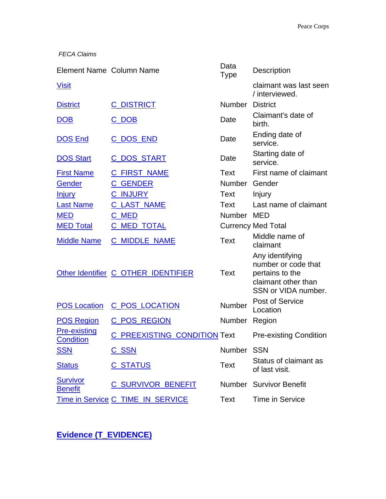*FECA Claims*

| Element Name Column Name                |                                     | Data<br><b>Type</b> | Description                                                                                             |
|-----------------------------------------|-------------------------------------|---------------------|---------------------------------------------------------------------------------------------------------|
| <b>Visit</b>                            |                                     |                     | claimant was last seen<br>/ interviewed.                                                                |
| <b>District</b>                         | <b>C_DISTRICT</b>                   | Number District     |                                                                                                         |
| DOB                                     | C_DOB                               | Date                | Claimant's date of<br>birth.                                                                            |
| <b>DOS End</b>                          | C DOS END                           | Date                | Ending date of<br>service.                                                                              |
| <b>DOS Start</b>                        | <u>C_DOS_START</u>                  | Date                | Starting date of<br>service.                                                                            |
| <b>First Name</b>                       | <b>C_FIRST_NAME</b>                 | Text                | First name of claimant                                                                                  |
| Gender                                  | <b>C_GENDER</b>                     | Number Gender       |                                                                                                         |
| <b>Injury</b>                           | C_INJURY                            | Text                | Injury                                                                                                  |
| <b>Last Name</b>                        | <b>C LAST NAME</b>                  | Text                | Last name of claimant                                                                                   |
| <b>MED</b>                              | C MED                               | Number MED          |                                                                                                         |
| <b>MED Total</b>                        | <b>C_MED_TOTAL</b>                  |                     | <b>Currency Med Total</b>                                                                               |
| <b>Middle Name</b>                      | <b>C_MIDDLE_NAME</b>                | <b>Text</b>         | Middle name of<br>claimant                                                                              |
|                                         | Other Identifier C_OTHER_IDENTIFIER | Text                | Any identifying<br>number or code that<br>pertains to the<br>claimant other than<br>SSN or VIDA number. |
| <b>POS Location</b>                     | <b>C_POS_LOCATION</b>               | <b>Number</b>       | Post of Service<br>Location                                                                             |
| <b>POS Region</b>                       | <b>C_POS_REGION</b>                 | <b>Number</b>       | Region                                                                                                  |
| <b>Pre-existing</b><br><b>Condition</b> | C PREEXISTING CONDITION Text        |                     | <b>Pre-existing Condition</b>                                                                           |
| <b>SSN</b>                              | <u>C_SSN</u>                        | Number SSN          |                                                                                                         |
| <b>Status</b>                           | <u>C_STATUS</u>                     | Text                | Status of claimant as<br>of last visit.                                                                 |
| <b>Survivor</b><br><b>Benefit</b>       | C SURVIVOR BENEFIT                  |                     | Number Survivor Benefit                                                                                 |
|                                         | Time in Service C_TIME_IN_SERVICE   | <b>Text</b>         | Time in Service                                                                                         |

**Evidence (T\_EVIDENCE)**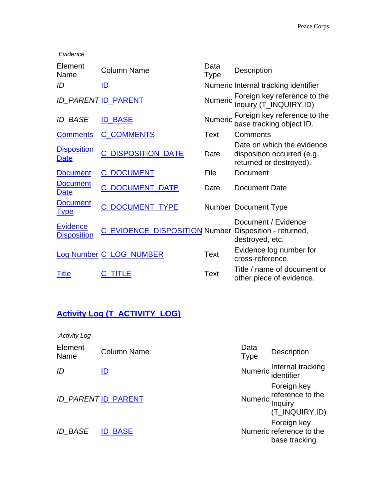*Evidence* Element Element Column Name Data<br>Name Column Name Type Description *ID* ID ID **ID ID** Numeric Internal tracking identifier *ID\_PARENT* ID\_PARENT Numeric Foreign key reference to the Inquiry (T\_INQUIRY.ID) *ID\_BASE* ID\_BASE **ID\_BASE** Numeric Foreign key reference to the base tracking object ID. [Comments](javascript:addSql() C\_COMMENTS Text Comments **Disposition Disposition** C\_DISPOSITION\_DATE [Date](javascript:addSql() Date on which the evidence disposition occurred (e.g. returned or destroyed). [Document](javascript:addSql() C\_DOCUMENT File Document **Document Document** C\_DOCUMENT\_DATE [Date](javascript:addSql() Document Date **Document DOCUMENT\_TYPE** Number Document Type **Evidence EVIDENCE\_DISPOSITION** Number [Disposition](javascript:addSql() - returned,<br>Disposition C\_EVIDENCE\_DISPOSITION Number dectrousd ats Document / Evidence destroyed, etc. [Log Number](javascript:addSql() C\_LOG\_NUMBER Text Evidence log number for cross-reference. [Title](javascript:addSql() C\_TITLE Text Title / name of document or other piece of evidence.

### **Activity Log (T\_ACTIVITY\_LOG)**

*Activity Log*

| Element<br>Name | <b>Column Name</b>         | Data<br><b>Type</b> | <b>Description</b>                                                   |
|-----------------|----------------------------|---------------------|----------------------------------------------------------------------|
| ID              | ID                         |                     | Numeric Internal tracking<br>identifier                              |
|                 | <b>ID_PARENT ID_PARENT</b> |                     | Foreign key<br>Numeric reference to the<br>Inquiry<br>(T_INQUIRY.ID) |
| <b>ID BASE</b>  | <b>ID BASE</b>             |                     | Foreign key<br>Numeric reference to the<br>base tracking             |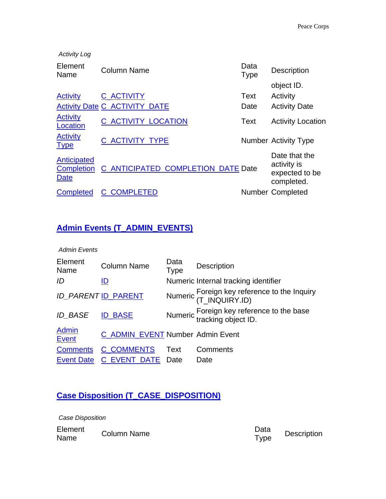| <b>Activity Log</b>                             |                                      |                     |                                                              |
|-------------------------------------------------|--------------------------------------|---------------------|--------------------------------------------------------------|
| Element<br>Name                                 | <b>Column Name</b>                   | Data<br><b>Type</b> | <b>Description</b>                                           |
|                                                 |                                      |                     | object ID.                                                   |
| <b>Activity</b>                                 | <b>C_ACTIVITY</b>                    | Text                | Activity                                                     |
|                                                 | <b>Activity Date C_ACTIVITY_DATE</b> | Date                | <b>Activity Date</b>                                         |
| <b>Activity</b><br>Location                     | C ACTIVITY LOCATION                  | Text                | <b>Activity Location</b>                                     |
| <b>Activity</b><br><b>Type</b>                  | C ACTIVITY TYPE                      |                     | <b>Number Activity Type</b>                                  |
| Anticipated<br><b>Completion</b><br><b>Date</b> | C ANTICIPATED COMPLETION DATE Date   |                     | Date that the<br>activity is<br>expected to be<br>completed. |
| <b>Completed</b>                                | C COMPLETED                          |                     | <b>Number Completed</b>                                      |

### **Admin Events (T\_ADMIN\_EVENTS)**

*Admin Events*

| Element<br>Name              | <b>Column Name</b>               | Data<br><b>Type</b> | <b>Description</b>                                               |
|------------------------------|----------------------------------|---------------------|------------------------------------------------------------------|
| ID                           | ID                               |                     | Numeric Internal tracking identifier                             |
|                              | <b>ID_PARENT ID_PARENT</b>       |                     | Numeric Foreign key reference to the Inquiry<br>(T_INQUIRY.ID)   |
| <b>ID_BASE</b>               | <b>ID BASE</b>                   |                     | Numeric Foreign key reference to the base<br>tracking object ID. |
| <b>Admin</b><br><b>Event</b> | C ADMIN_EVENT Number Admin Event |                     |                                                                  |
| <b>Comments</b>              | <b>C COMMENTS</b>                | Text                | Comments                                                         |
| <b>Event Date</b>            | C EVENT DATE Date                |                     | Date                                                             |

### **Case Disposition (T\_CASE\_DISPOSITION)**

*Case Disposition*

| Element | <b>Column Name</b> | Data        | Description |
|---------|--------------------|-------------|-------------|
| Name    |                    | <b>Type</b> |             |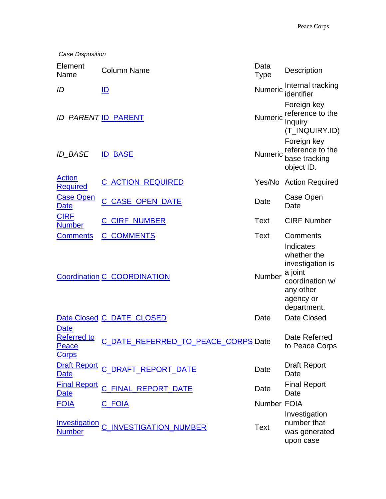| Case Disposition                                                  |                                     |                     |                                                                                                                     |
|-------------------------------------------------------------------|-------------------------------------|---------------------|---------------------------------------------------------------------------------------------------------------------|
| Element<br>Name                                                   | <b>Column Name</b>                  | Data<br><b>Type</b> | Description                                                                                                         |
| ID                                                                | ID                                  | Numeric             | Internal tracking<br>identifier                                                                                     |
|                                                                   | <b>ID_PARENT ID_PARENT</b>          | Numeric             | Foreign key<br>reference to the<br>Inquiry<br>(T_INQUIRY.ID)                                                        |
| <b>ID BASE</b>                                                    | <b>ID_BASE</b>                      | Numeric             | Foreign key<br>reference to the<br>base tracking<br>object ID.                                                      |
| <b>Action</b><br><b>Required</b>                                  | <u>C ACTION REQUIRED</u>            |                     | Yes/No Action Required                                                                                              |
| <b>Case Open</b><br>Date                                          | <b>C CASE OPEN DATE</b>             | Date                | Case Open<br>Date                                                                                                   |
| <b>CIRF</b><br><b>Number</b>                                      | <b>C_CIRF_NUMBER</b>                | Text                | <b>CIRF Number</b>                                                                                                  |
| <b>Comments</b>                                                   | <b>C_COMMENTS</b>                   | Text                | Comments                                                                                                            |
|                                                                   | <b>Coordination C_COORDINATION</b>  | Number              | Indicates<br>whether the<br>investigation is<br>a joint<br>coordination w/<br>any other<br>agency or<br>department. |
|                                                                   | Date Closed C_DATE_CLOSED           | Date                | Date Closed                                                                                                         |
| <b>Date</b><br><b>Referred to</b><br><b>Peace</b><br><b>Corps</b> | C_DATE_REFERRED_TO_PEACE_CORPS Date |                     | Date Referred<br>to Peace Corps                                                                                     |
| <b>Date</b>                                                       | Draft Report C_DRAFT_REPORT_DATE    | Date                | <b>Draft Report</b><br>Date                                                                                         |
| <b>Final Report</b><br>Date                                       | <b>FINAL REPORT DATE</b><br>C       | Date                | <b>Final Report</b><br>Date                                                                                         |
| <b>FOIA</b>                                                       | <u>C FOIA</u>                       | Number FOIA         |                                                                                                                     |
| <b>Investigation</b><br><b>Number</b>                             | <b>INVESTIGATION NUMBER</b>         | <b>Text</b>         | Investigation<br>number that<br>was generated<br>upon case                                                          |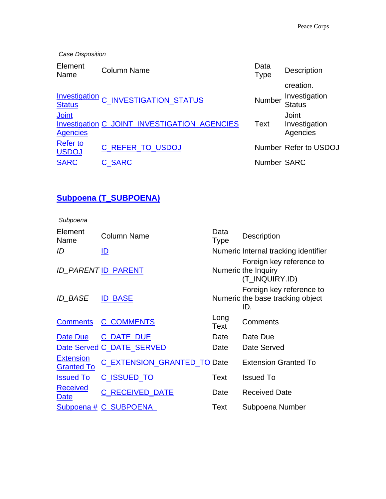*Case Disposition*

| Element<br>Name                 | <b>Column Name</b>                           | Data<br><b>Type</b> | <b>Description</b>                 |
|---------------------------------|----------------------------------------------|---------------------|------------------------------------|
|                                 |                                              |                     | creation.                          |
| <b>Status</b>                   | Investigation C_INVESTIGATION_STATUS         | Number              | Investigation<br>Status            |
| Joint<br><b>Agencies</b>        | Investigation C_JOINT_INVESTIGATION_AGENCIES | <b>Text</b>         | Joint<br>Investigation<br>Agencies |
| <b>Refer to</b><br><b>USDOJ</b> | C REFER TO USDOJ                             |                     | Number Refer to USDOJ              |
| <b>SARC</b>                     | <b>C_SARC</b>                                | Number SARC         |                                    |

### **Subpoena (T\_SUBPOENA)**

*Subpoena*

| Element<br>Name                       | <b>Column Name</b>          | Data<br><b>Type</b> | Description                                                         |
|---------------------------------------|-----------------------------|---------------------|---------------------------------------------------------------------|
| ID                                    | ID                          |                     | Numeric Internal tracking identifier                                |
|                                       | <b>ID PARENT ID_PARENT</b>  |                     | Foreign key reference to<br>Numeric the Inquiry<br>(T_INQUIRY.ID)   |
| <b>ID BASE</b>                        | <b>BASE</b><br>IDI          |                     | Foreign key reference to<br>Numeric the base tracking object<br>ID. |
| <b>Comments</b>                       | <b>C_COMMENTS</b>           | Long<br>Text        | Comments                                                            |
| Date Due                              | C_DATE_DUE                  | Date                | Date Due                                                            |
|                                       | Date Served C_DATE_SERVED   | Date                | Date Served                                                         |
| <b>Extension</b><br><b>Granted To</b> | C_EXTENSION_GRANTED_TO Date |                     | <b>Extension Granted To</b>                                         |
| <b>Issued To</b>                      | <b>C_ISSUED_TO</b>          | Text                | <b>Issued To</b>                                                    |
| <b>Received</b><br>Date               | <b>C_RECEIVED_DATE</b>      | Date                | <b>Received Date</b>                                                |
|                                       | Subpoena # C_SUBPOENA       | Text                | Subpoena Number                                                     |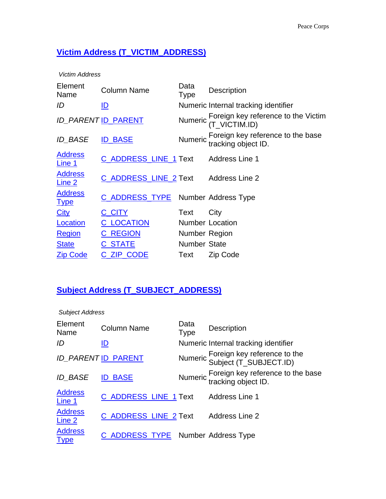### **Victim Address (T\_VICTIM\_ADDRESS)**

*Victim Address*

| Element<br>Name                 | <b>Column Name</b>                   | Data<br><b>Type</b> | Description                                                      |
|---------------------------------|--------------------------------------|---------------------|------------------------------------------------------------------|
| ID                              | ID                                   |                     | Numeric Internal tracking identifier                             |
|                                 | <b>ID_PARENT ID_PARENT</b>           |                     | Numeric Foreign key reference to the Victim<br>(T_VICTIM.ID)     |
| <b>ID BASE</b>                  | <b>ID_BASE</b>                       |                     | Numeric Foreign key reference to the base<br>tracking object ID. |
| <b>Address</b><br><u>Line 1</u> | C_ADDRESS_LINE_1 Text Address Line 1 |                     |                                                                  |
| <b>Address</b><br>Line 2        | C_ADDRESS_LINE_2 Text                |                     | <b>Address Line 2</b>                                            |
| <b>Address</b><br><u>Type</u>   | C_ADDRESS_TYPE Number Address Type   |                     |                                                                  |
| <b>City</b>                     | C_CITY                               | Text                | City                                                             |
| Location                        | <b>C_LOCATION</b>                    |                     | <b>Number Location</b>                                           |
| <b>Region</b>                   | <b>C_REGION</b>                      | Number Region       |                                                                  |
| <b>State</b>                    | <b>C_STATE</b>                       | <b>Number State</b> |                                                                  |
| <b>Zip Code</b>                 | C_ZIP_CODE                           | Text                | Zip Code                                                         |

### **Subject Address (T\_SUBJECT\_ADDRESS)**

| <b>Subject Address</b>              |                                    |                     |                                                                  |
|-------------------------------------|------------------------------------|---------------------|------------------------------------------------------------------|
| Element<br>Name                     | <b>Column Name</b>                 | Data<br><b>Type</b> | <b>Description</b>                                               |
| ID                                  | <u>ID</u>                          |                     | Numeric Internal tracking identifier                             |
|                                     | <b>ID_PARENT ID_PARENT</b>         |                     | Numeric Foreign key reference to the<br>Subject (T_SUBJECT.ID)   |
| <b>ID BASE</b>                      | <b>BASE</b><br>ID                  |                     | Numeric Foreign key reference to the base<br>tracking object ID. |
| <b>Address</b><br>Line 1            | C_ADDRESS_LINE_1 Text              |                     | <b>Address Line 1</b>                                            |
| <b>Address</b><br>Line <sub>2</sub> | C_ADDRESS_LINE_2 Text              |                     | Address Line 2                                                   |
| <b>Address</b><br><u>Type</u>       | C_ADDRESS_TYPE Number Address Type |                     |                                                                  |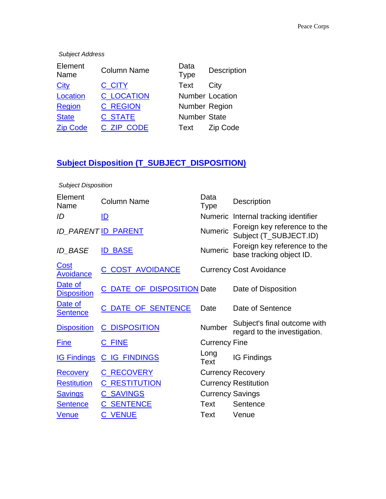#### *Subject Address*

| <b>Number Location</b> |
|------------------------|
| Number Region          |
|                        |
| Zip Code               |
|                        |

### **Subject Disposition (T\_SUBJECT\_DISPOSITION)**

| <b>Subject Disposition</b>      |                            |                         |                                                              |  |  |
|---------------------------------|----------------------------|-------------------------|--------------------------------------------------------------|--|--|
| Element<br>Name                 | <b>Column Name</b>         | Data<br><b>Type</b>     | <b>Description</b>                                           |  |  |
| ID                              | ID                         |                         | Numeric Internal tracking identifier                         |  |  |
|                                 | <b>ID_PARENT ID_PARENT</b> | <b>Numeric</b>          | Foreign key reference to the<br>Subject (T_SUBJECT.ID)       |  |  |
| <b>ID BASE</b>                  | <b>ID BASE</b>             | <b>Numeric</b>          | Foreign key reference to the<br>base tracking object ID.     |  |  |
| <u>Cost</u><br><b>Avoidance</b> | C COST AVOIDANCE           |                         | <b>Currency Cost Avoidance</b>                               |  |  |
| Date of<br><b>Disposition</b>   | C_DATE_OF_DISPOSITION Date |                         | Date of Disposition                                          |  |  |
| Date of<br><b>Sentence</b>      | C DATE OF SENTENCE         | Date                    | Date of Sentence                                             |  |  |
| <b>Disposition</b>              | <b>C_DISPOSITION</b>       | Number                  | Subject's final outcome with<br>regard to the investigation. |  |  |
| <b>Fine</b>                     | C_FINE                     | <b>Currency Fine</b>    |                                                              |  |  |
| <b>IG Findings</b>              | <b>C_IG_FINDINGS</b>       | Long<br><b>Text</b>     | <b>IG Findings</b>                                           |  |  |
| <b>Recovery</b>                 | <b>C_RECOVERY</b>          |                         | <b>Currency Recovery</b>                                     |  |  |
| <b>Restitution</b>              | <b>C_RESTITUTION</b>       |                         | <b>Currency Restitution</b>                                  |  |  |
| <b>Savings</b>                  | <b>C_SAVINGS</b>           | <b>Currency Savings</b> |                                                              |  |  |
| <b>Sentence</b>                 | <b>C_SENTENCE</b>          | Text                    | Sentence                                                     |  |  |
| <b>Venue</b>                    | <b>C_VENUE</b>             | Text                    | Venue                                                        |  |  |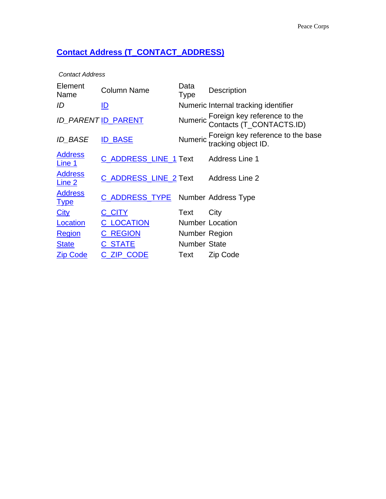### **Contact Address (T\_CONTACT\_ADDRESS)**

*Contact Address*

| Element<br>Name               | <b>Column Name</b>                   | Data<br>Type        | Description                                                      |
|-------------------------------|--------------------------------------|---------------------|------------------------------------------------------------------|
| ID                            | <u>ID</u>                            |                     | Numeric Internal tracking identifier                             |
|                               | <b>ID_PARENT ID_PARENT</b>           |                     | Numeric Foreign key reference to the<br>Contacts (T_CONTACTS.ID) |
| <b>ID BASE</b>                | <b>BASE</b><br>ID                    |                     | Numeric Foreign key reference to the base<br>tracking object ID. |
| <b>Address</b><br>Line 1      | C_ADDRESS_LINE_1 Text Address Line 1 |                     |                                                                  |
| <b>Address</b><br>Line 2      | C_ADDRESS_LINE_2 Text Address Line 2 |                     |                                                                  |
| <b>Address</b><br><u>Type</u> | C_ADDRESS_TYPE Number Address Type   |                     |                                                                  |
| <b>City</b>                   | C_CITY                               | Text                | City                                                             |
| Location                      | <b>C_LOCATION</b>                    |                     | <b>Number Location</b>                                           |
| <b>Region</b>                 | <b>C_REGION</b>                      | Number Region       |                                                                  |
| <b>State</b>                  | <b>C STATE</b>                       | <b>Number State</b> |                                                                  |
| <b>Zip Code</b>               | <b>ZIP CODE</b><br>C                 | Text                | Zip Code                                                         |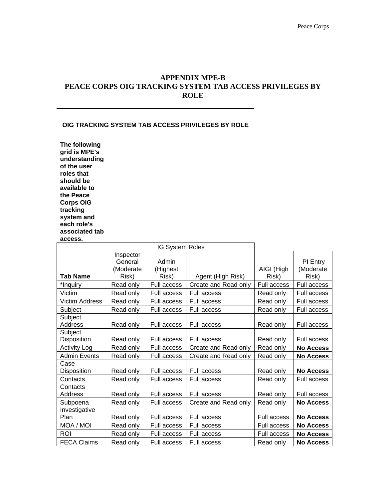#### **APPENDIX MPE-B PEACE CORPS OIG TRACKING SYSTEM TAB ACCESS PRIVILEGES BY ROLE**

#### **OIG TRACKING SYSTEM TAB ACCESS PRIVILEGES BY ROLE**

**The following grid is MPE's understanding of the user roles that should be available to the Peace Corps OIG tracking system and each role's associated tab access.** 

|                            | <b>IG System Roles</b>                     |                            |                      |                     |                                |
|----------------------------|--------------------------------------------|----------------------------|----------------------|---------------------|--------------------------------|
| <b>Tab Name</b>            | Inspector<br>General<br>(Moderate<br>Risk) | Admin<br>(Highest<br>Risk) | Agent (High Risk)    | AIGI (High<br>Risk) | PI Entry<br>(Moderate<br>Risk) |
| *Inquiry                   | Read only                                  | Full access                | Create and Read only | Full access         | Full access                    |
| Victim                     | Read only                                  | Full access                | <b>Full access</b>   | Read only           | Full access                    |
| <b>Victim Address</b>      | Read only                                  | Full access                | Full access          | Read only           | Full access                    |
| Subject                    | Read only                                  | Full access                | Full access          | Read only           | Full access                    |
| Subject<br><b>Address</b>  | Read only                                  | Full access                | <b>Full access</b>   | Read only           | <b>Full access</b>             |
| Subject<br>Disposition     | Read only                                  | Full access                | Full access          | Read only           | Full access                    |
| <b>Activity Log</b>        | Read only                                  | Full access                | Create and Read only | Read only           | <b>No Access</b>               |
| <b>Admin Events</b>        | Read only                                  | Full access                | Create and Read only | Read only           | <b>No Access</b>               |
| Case<br>Disposition        | Read only                                  | Full access                | <b>Full access</b>   | Read only           | <b>No Access</b>               |
| Contacts                   | Read only                                  | Full access                | Full access          | Read only           | Full access                    |
| Contacts<br><b>Address</b> | Read only                                  | Full access                | <b>Full access</b>   | Read only           | Full access                    |
| Subpoena                   | Read only                                  | Full access                | Create and Read only | Read only           | <b>No Access</b>               |
| Investigative<br>Plan      | Read only                                  | Full access                | <b>Full access</b>   | Full access         | <b>No Access</b>               |
| MOA / MOI                  | Read only                                  | Full access                | Full access          | Full access         | <b>No Access</b>               |
| <b>ROI</b>                 | Read only                                  | Full access                | Full access          | Full access         | <b>No Access</b>               |
| <b>FECA Claims</b>         | Read only                                  | Full access                | Full access          | Read only           | <b>No Access</b>               |